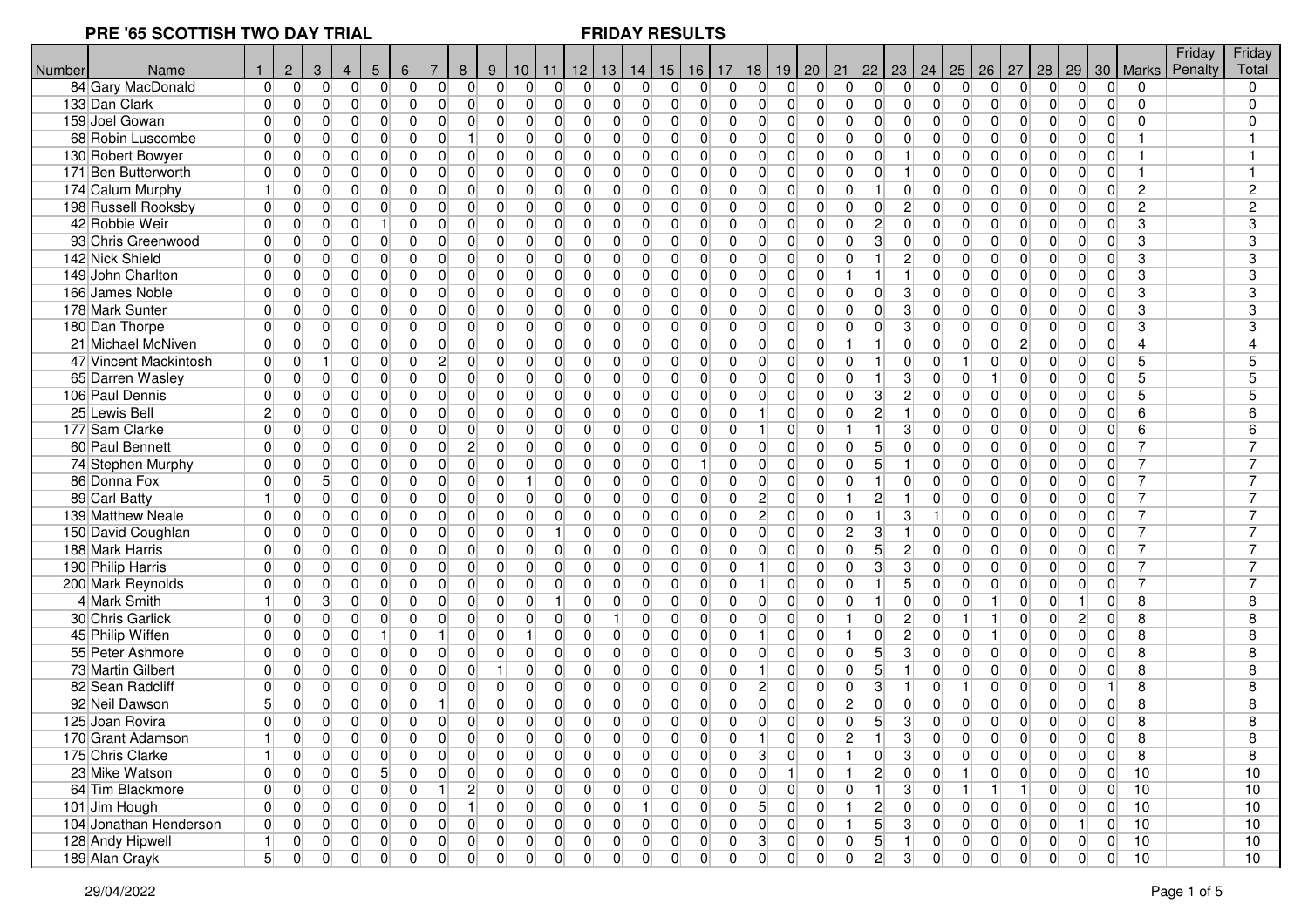| Number | Name                   |                | $\overline{2}$ | 3               | $\overline{4}$ | $5\phantom{.0}$ | $\,6\,$        | 7                | 8              | 9              | 10 <sub>1</sub> | 11             | $12$ 13 14                       |                | 15                               | 16             | 17             | 18             | 19             |                | $20 \mid 21$   | 22             | 23                |                | 24   25        | 26             | 27             | 28             | 29             | 30             | Marks          | Friday<br>Penalty | Friday<br>Total |
|--------|------------------------|----------------|----------------|-----------------|----------------|-----------------|----------------|------------------|----------------|----------------|-----------------|----------------|----------------------------------|----------------|----------------------------------|----------------|----------------|----------------|----------------|----------------|----------------|----------------|-------------------|----------------|----------------|----------------|----------------|----------------|----------------|----------------|----------------|-------------------|-----------------|
|        | 84 Gary MacDonald      | $\overline{0}$ | $\overline{0}$ | $\overline{0}$  | $\overline{0}$ | 0               | 0              | 0                | $\overline{0}$ | $\overline{0}$ | $\overline{0}$  | 0              | $\overline{0}$<br>$\overline{0}$ |                | $\Omega$<br>$\Omega$             | $\Omega$       | $\Omega$       | $\Omega$       | $\Omega$       | $\Omega$       | $\overline{0}$ | $\Omega$       | $\overline{0}$    | $\Omega$       | 0              | $\Omega$       | $\overline{0}$ | $\overline{0}$ | $\overline{0}$ | $\Omega$       |                |                   | $\Omega$        |
|        | 133 Dan Clark          | $\Omega$       | $\overline{0}$ | $\Omega$        | 0              | $\Omega$        | 0              | $\Omega$         | $\Omega$       | $\Omega$       | $\Omega$        | $\Omega$       | $\overline{0}$<br>$\Omega$       |                | $\Omega$<br>$\Omega$             | O              | $\overline{0}$ | $\Omega$       | $\Omega$       | $\Omega$       | $\overline{0}$ | $\Omega$       | $\Omega$          | $\Omega$       | $\Omega$       | $\Omega$       | $\Omega$       | $\Omega$       | $\Omega$       | $\Omega$       | $\Omega$       |                   | 0               |
|        | 159 Joel Gowan         | $\overline{0}$ | $\overline{0}$ | $\Omega$        | $\overline{0}$ | $\overline{0}$  | 0              | 0                | $\overline{0}$ | $\overline{0}$ | $\overline{0}$  | 0              | $\overline{0}$<br>$\overline{0}$ |                | 0<br>0                           | $\Omega$       | $\overline{0}$ | $\overline{0}$ | $\overline{0}$ | $\overline{0}$ | $\overline{0}$ | $\Omega$       | $\overline{0}$    | $\Omega$       | 0              | $\Omega$       | $\overline{0}$ | $\Omega$       | $\overline{0}$ | $\Omega$       | $\Omega$       |                   | 0               |
|        | 68 Robin Luscombe      | $\overline{0}$ | 0              | 0               | 0              | 0               | 0              | 0                |                | $\overline{0}$ | $\overline{0}$  | 0              | $\overline{0}$<br>$\overline{0}$ |                | $\overline{0}$<br>$\mathbf 0$    | $\Omega$       | $\overline{0}$ | $\Omega$       | $\mathbf 0$    | $\overline{0}$ | $\overline{0}$ | $\Omega$       | $\mathbf 0$       | $\Omega$       | $\overline{0}$ | $\overline{0}$ | 0              | $\overline{0}$ | $\overline{0}$ | $\overline{0}$ | $\mathbf{1}$   |                   |                 |
|        | 130 Robert Bowyer      | $\overline{0}$ | $\overline{0}$ | 0               | $\overline{0}$ | 0               | 0              | 0                | $\Omega$       | $\overline{0}$ | $\overline{0}$  | 0              | $\overline{0}$<br>$\overline{0}$ | $\overline{0}$ | 0                                | $\Omega$       | $\overline{0}$ | $\Omega$       | $\overline{0}$ | $\overline{0}$ | $\overline{0}$ | $\Omega$       |                   | $\Omega$       | $\overline{0}$ | $\overline{0}$ | $\mathbf 0$    | $\overline{0}$ | $\overline{0}$ | $\overline{0}$ | 1              |                   |                 |
|        | 171 Ben Butterworth    | $\Omega$       | $\overline{0}$ | 0               | $\overline{0}$ | $\overline{0}$  | $\overline{0}$ | 0                | 0              | $\overline{0}$ | $\overline{0}$  | 0              | $\overline{0}$<br>$\overline{0}$ | $\overline{0}$ | 0                                | $\Omega$       | $\overline{0}$ | $\overline{0}$ | $\overline{0}$ | $\overline{0}$ | $\overline{0}$ | $\Omega$       |                   | $\Omega$       | 0              | $\Omega$       | 0              | $\Omega$       | $\overline{0}$ | $\Omega$       | $\mathbf{1}$   |                   |                 |
|        | 174 Calum Murphy       | $\vert$        | 0              | $\overline{0}$  | $\overline{0}$ | $\overline{0}$  | 0              | 0                | 0              | $\overline{0}$ | $\overline{0}$  | 0              | $\overline{0}$<br>$\overline{0}$ |                | 0<br>$\mathbf 0$                 | $\Omega$       | $\overline{0}$ | $\Omega$       | $\mathbf 0$    | $\overline{0}$ | $\overline{0}$ |                | 0                 | $\Omega$       | $\overline{0}$ | $\Omega$       | 0              | 0              | $\overline{0}$ | $\Omega$       | $\overline{c}$ |                   | $\overline{c}$  |
|        | 198 Russell Rooksby    | $\overline{0}$ | $\overline{0}$ | $\overline{0}$  | $\overline{0}$ | $\overline{0}$  | 0              | 0                | $\Omega$       | $\overline{0}$ | $\overline{0}$  | 0              | $\overline{0}$<br>$\overline{0}$ |                | 0<br>0                           | $\Omega$       | $\overline{0}$ | $\Omega$       | $\overline{0}$ | $\overline{0}$ | $\overline{0}$ | $\overline{0}$ | $\overline{c}$    | $\Omega$       | $\overline{0}$ | $\Omega$       | 0              | $\overline{0}$ | $\overline{0}$ | $\overline{0}$ | $\overline{c}$ |                   | $\overline{c}$  |
|        | 42 Robbie Weir         | $\overline{0}$ | 0              | $\overline{0}$  | $\overline{0}$ | 1 <sup>1</sup>  | 0              | 0                | $\overline{0}$ | $\overline{0}$ | $\overline{0}$  | 0              | $\overline{0}$<br>$\overline{0}$ |                | $\overline{0}$<br>0              | $\Omega$       | $\overline{0}$ | $\Omega$       | $\overline{0}$ | $\overline{0}$ | 0              | $\overline{c}$ | $\overline{0}$    | $\Omega$       | $\overline{0}$ | $\Omega$       | 0              | $\overline{0}$ | $\overline{0}$ | $\Omega$       | 3              |                   | 3               |
|        | 93 Chris Greenwood     | $\overline{0}$ | 0              | 0               | $\overline{0}$ | 0               | $\overline{0}$ | 0                | $\overline{0}$ | $\overline{0}$ | 0               | 0              | $\overline{0}$<br>$\overline{0}$ | $\overline{0}$ | $\mathbf 0$                      | $\overline{0}$ | $\overline{0}$ | $\Omega$       | $\mathbf 0$    | $\overline{0}$ | $\overline{0}$ | 3              | $\overline{0}$    | $\overline{0}$ | 0              | $\overline{0}$ | 0              | $\overline{0}$ | $\overline{0}$ | $\overline{0}$ | 3              |                   | 3               |
|        | 142 Nick Shield        | $\overline{0}$ | $\overline{0}$ | $\overline{0}$  | $\overline{0}$ | $\overline{0}$  | $\overline{0}$ | $\overline{0}$   | $\Omega$       | $\overline{0}$ | $\overline{0}$  | 0              | $\overline{0}$<br>$\overline{0}$ | $\overline{0}$ | $\mathbf 0$                      | $\overline{0}$ | $\overline{0}$ | $\overline{0}$ | $\overline{0}$ | $\overline{0}$ | $\overline{0}$ |                | $\overline{c}$    | $\Omega$       | $\overline{0}$ | $\overline{0}$ | 0              | $\overline{0}$ | $\overline{0}$ | $\Omega$       | 3              |                   | 3               |
|        | 149 John Charlton      | $\Omega$       | $\overline{0}$ | $\overline{0}$  | $\overline{0}$ | 0               | $\overline{0}$ | $\mathbf 0$      | $\overline{0}$ | $\overline{0}$ | 0               | 0              | $\overline{0}$<br>$\overline{0}$ |                | $\overline{0}$<br>$\overline{0}$ | $\Omega$       | $\overline{0}$ | $\Omega$       | $\overline{0}$ | $\overline{0}$ | 1              |                | $\mathbf{1}$      | $\Omega$       | 0              | $\overline{0}$ | 0              | $\overline{0}$ | $\overline{0}$ | $\overline{0}$ | 3              |                   | 3               |
|        | 166 James Noble        | $\Omega$       | 0              | 0               | $\overline{0}$ | $\overline{0}$  | 0              | 0                | $\Omega$       | $\overline{0}$ | 0               | 0              | $\overline{0}$<br>$\overline{0}$ | $\overline{0}$ | $\mathbf 0$                      | $\Omega$       | $\overline{0}$ | $\Omega$       | $\mathbf 0$    | $\overline{0}$ | $\overline{0}$ | $\overline{0}$ | 3                 | $\Omega$       | 0              | $\Omega$       | 0              | $\overline{0}$ | $\overline{0}$ | 0              | 3              |                   | 3               |
|        | 178 Mark Sunter        | $\Omega$       | $\overline{0}$ | $\overline{0}$  | $\overline{0}$ | $\overline{0}$  | 0              | 0                | $\Omega$       | $\Omega$       | $\overline{0}$  | 0              | $\overline{0}$<br>$\overline{0}$ |                | 0<br>0                           | $\Omega$       | $\overline{0}$ | $\Omega$       | $\overline{0}$ | $\overline{0}$ | $\overline{0}$ | $\Omega$       | 3                 | $\Omega$       | 0              | $\Omega$       | 0              | $\overline{0}$ | $\overline{0}$ | $\Omega$       | 3              |                   | 3               |
|        | 180 Dan Thorpe         | $\Omega$       | 0              | $\overline{0}$  | $\overline{0}$ | $\overline{0}$  | 0              | 0                | $\Omega$       | $\overline{0}$ | $\overline{0}$  | $\overline{0}$ | $\overline{0}$<br>$\overline{0}$ |                | $\overline{0}$<br>$\Omega$       | $\Omega$       | $\Omega$       | $\Omega$       | $\mathbf{0}$   | $\Omega$       | $\overline{0}$ | $\Omega$       | 3                 | $\Omega$       | 0              | $\Omega$       | 0              | $\Omega$       | $\overline{0}$ | $\Omega$       | 3              |                   | 3               |
|        | 21 Michael McNiven     | $\overline{0}$ | 0              | $\overline{0}$  | $\overline{0}$ | $\overline{0}$  | 0              | 0                | 0              | $\overline{0}$ | 0               | 0              | $\overline{0}$<br>$\overline{0}$ |                | 0<br>$\mathbf 0$                 | $\overline{0}$ | $\overline{0}$ | $\Omega$       | $\overline{0}$ | $\overline{0}$ |                |                | $\Omega$          | $\Omega$       | 0              | $\overline{0}$ | $\overline{c}$ | $\overline{0}$ | $\overline{0}$ | $\overline{0}$ | $\overline{4}$ |                   |                 |
|        | 47 Vincent Mackintosh  | $\overline{0}$ | 0              | $\mathbf{1}$    | $\overline{0}$ | $\overline{0}$  | 0              | $\overline{c}$   | $\Omega$       | $\overline{0}$ | $\overline{0}$  | 0              | $\overline{0}$<br>$\overline{0}$ |                | $\overline{0}$<br>0              | $\Omega$       | $\overline{0}$ | $\Omega$       | $\mathbf{0}$   | $\overline{0}$ | $\overline{0}$ |                | $\overline{0}$    | $\Omega$       | 1              | $\overline{0}$ | $\mathbf 0$    | $\overline{0}$ | $\overline{0}$ | $\overline{0}$ | 5              |                   | 5               |
|        | 65 Darren Wasley       | $\overline{0}$ | $\overline{0}$ | $\overline{0}$  | $\overline{0}$ | $\overline{0}$  | $\overline{0}$ | 0                | $\Omega$       | $\overline{0}$ | $\overline{0}$  | 0              | $\overline{0}$<br>$\overline{0}$ | $\Omega$       | 0                                | $\Omega$       | $\overline{0}$ | $\overline{0}$ | $\mathbf{0}$   | $\Omega$       | $\overline{0}$ |                | 3                 | $\Omega$       | $\overline{0}$ |                | 0              | $\Omega$       | $\Omega$       | $\Omega$       | 5              |                   | 5               |
|        | 106 Paul Dennis        | $\Omega$       | 0              | $\overline{0}$  | $\overline{0}$ | $\overline{0}$  | 0              | 0                | 0              | $\Omega$       | $\overline{0}$  | 0              | $\overline{0}$<br>$\overline{0}$ | $\overline{0}$ | $\mathbf 0$                      | $\Omega$       | $\overline{0}$ | $\Omega$       | $\overline{0}$ | $\overline{0}$ | $\overline{0}$ | 3              | $\overline{c}$    | $\Omega$       | $\overline{0}$ | $\overline{0}$ | 0              | $\overline{0}$ | $\overline{0}$ | 0              | 5              |                   | 5               |
|        | 25 Lewis Bell          | $\overline{2}$ | 0              | 0               | 0              | 0               | 0              | 0                | 0              | $\overline{0}$ | 0               | 0              | $\overline{0}$<br>$\overline{0}$ | $\overline{0}$ | $\mathbf 0$                      | $\Omega$       | $\overline{0}$ |                | $\mathbf 0$    | $\overline{0}$ | $\overline{0}$ | $\overline{c}$ |                   | $\Omega$       | $\overline{0}$ | $\Omega$       | 0              | 0              | 0              | $\overline{0}$ | 6              |                   | 6               |
|        | 177 Sam Clarke         | $\overline{0}$ | 0              | $\overline{0}$  | $\overline{0}$ | $\overline{0}$  | 0              | 0                | $\overline{0}$ | $\overline{0}$ | $\overline{0}$  | 0              | $\overline{0}$<br>$\overline{0}$ | $\Omega$       | 0                                | $\Omega$       | $\overline{0}$ |                | $\overline{0}$ | $\Omega$       | $\vert$        |                | 3                 | $\Omega$       | $\overline{0}$ | $\Omega$       | 0              | $\Omega$       | $\overline{0}$ | $\Omega$       | 6              |                   | 6               |
|        | 60 Paul Bennett        | $\overline{0}$ | 0              | $\overline{0}$  | $\overline{0}$ | $\overline{0}$  | 0              | 0                | $\mathbf{2}$   | $\overline{0}$ | 0               | 0              | $\overline{0}$<br>$\overline{0}$ | $\overline{0}$ | 0                                | $\overline{0}$ | $\overline{0}$ | $\overline{0}$ | $\mathbf 0$    | $\overline{0}$ | $\overline{0}$ | 5              | $\overline{0}$    | $\Omega$       | 0              | $\overline{0}$ | 0              | $\overline{0}$ | $\overline{0}$ | $\overline{0}$ | 7              |                   |                 |
|        | 74 Stephen Murphy      | $\overline{0}$ | $\overline{0}$ | $\overline{0}$  | 0              | 0               | 0              | 0                | $\overline{0}$ | $\overline{0}$ | 0               | $\overline{0}$ | $\overline{0}$<br>$\overline{0}$ |                | $\overline{0}$<br>$\mathbf 0$    | $\mathbf{1}$   | $\overline{0}$ | $\Omega$       | $\overline{0}$ | $\overline{0}$ | $\overline{0}$ | 5              |                   | $\Omega$       | 0              | $\overline{0}$ | $\overline{0}$ | $\overline{0}$ | $\overline{0}$ | $\Omega$       | 7              |                   |                 |
|        | 86 Donna Fox           | $\overline{0}$ | $\overline{0}$ | $5\overline{)}$ | $\overline{0}$ | 0               | $\overline{0}$ | 0                | $\overline{0}$ | $\overline{0}$ | $\mathbf{1}$    | $\mathbf 0$    | $\overline{0}$<br>$\overline{0}$ |                | $\overline{0}$<br>$\mathbf 0$    | $\Omega$       | $\overline{0}$ | $\Omega$       | $\overline{0}$ | $\overline{0}$ | $\overline{0}$ |                | $\overline{0}$    | $\Omega$       | 0              | $\Omega$       | 0              | $\overline{0}$ | $\overline{0}$ | $\Omega$       | 7              |                   |                 |
|        | 89 Carl Batty          | $\mathbf{1}$   | 0              | $\overline{0}$  | $\overline{0}$ | $\overline{0}$  | $\overline{0}$ | 0                | $\Omega$       | $\overline{0}$ | $\overline{0}$  | 0              | $\overline{0}$<br>$\overline{0}$ |                | $\overline{0}$<br>0              | $\Omega$       | $\overline{0}$ | $\overline{2}$ | $\overline{0}$ | $\overline{0}$ | 1 <sup>1</sup> | $\overline{c}$ | $\mathbf{1}$      | $\Omega$       | 0              | $\Omega$       | $\overline{0}$ | $\overline{0}$ | $\overline{0}$ | $\overline{0}$ | 7              |                   | 7               |
|        | 139 Matthew Neale      | $\Omega$       | 0              | 0               | 0              | 0               | 0              | 0                | $\Omega$       | $\overline{0}$ | 0               | 0              | $\overline{0}$<br>$\overline{0}$ |                | $\overline{0}$<br>$\mathbf 0$    | $\Omega$       | $\overline{0}$ | $\overline{2}$ | $\overline{0}$ | $\overline{0}$ | $\overline{0}$ |                | 3                 |                | $\overline{0}$ | $\Omega$       | 0              | 0              | $\overline{0}$ | $\Omega$       | 7              |                   | 7               |
|        | 150 David Coughlan     | $\overline{0}$ | 0              | $\overline{0}$  | $\overline{0}$ | $\overline{0}$  | 0              | 0                | $\Omega$       | $\overline{0}$ | $\overline{0}$  | $\mathbf{1}$   | $\overline{0}$<br>$\overline{0}$ |                | 0<br>0                           | $\Omega$       | $\overline{0}$ | $\Omega$       | $\overline{0}$ | $\overline{0}$ | $\overline{2}$ | 3              |                   | $\Omega$       | $\overline{0}$ | $\Omega$       | $\mathbf 0$    | $\overline{0}$ | $\overline{0}$ | $\overline{0}$ | 7              |                   |                 |
|        | 188 Mark Harris        | $\Omega$       | 0              | 0               | $\overline{0}$ | $\overline{0}$  | 0              | 0                | $\Omega$       | $\Omega$       | $\overline{0}$  | 0              | $\overline{0}$<br>$\overline{0}$ |                | 0<br>0                           | $\Omega$       | $\overline{0}$ | $\Omega$       | $\overline{0}$ | $\Omega$       | 0              | 5              | $\overline{2}$    | $\Omega$       | 0              | $\Omega$       | 0              | $\overline{0}$ | $\overline{0}$ | $\Omega$       | 7              |                   |                 |
|        | 190 Philip Harris      | $\overline{0}$ | 0              | $\overline{0}$  | 0              | $\overline{0}$  | 0              | 0                | $\overline{0}$ | $\overline{0}$ | 0               | 0              | $\overline{0}$<br>$\overline{0}$ | $\overline{0}$ | $\mathbf 0$                      | $\overline{0}$ | $\overline{0}$ |                | $\mathbf 0$    | $\overline{0}$ | 0              | 3              | 3                 | $\Omega$       | 0              | $\overline{0}$ | 0              | $\overline{0}$ | $\overline{0}$ | $\overline{0}$ | $\overline{7}$ |                   |                 |
|        | 200 Mark Reynolds      | $\overline{0}$ | $\Omega$       | 0               | $\overline{0}$ | $\overline{0}$  | $\overline{0}$ | 0                | $\Omega$       | $\overline{0}$ | $\overline{0}$  | 0              | $\overline{0}$<br>$\overline{0}$ | $\overline{0}$ | $\mathbf 0$                      | $\Omega$       | 0              |                | $\mathbf 0$    | $\overline{0}$ | $\overline{0}$ |                | $\overline{5}$    | $\overline{0}$ | $\overline{0}$ | $\overline{0}$ | $\mathbf 0$    | $\overline{0}$ | $\overline{0}$ | $\Omega$       | $\overline{7}$ |                   |                 |
|        | 4 Mark Smith           | $\mathbf{1}$   | $\overline{0}$ | 3               | $\overline{0}$ | $\overline{0}$  | $\overline{0}$ | 0                | 0              | $\overline{0}$ | 0               | $\mathbf{1}$   | $\overline{0}$<br>$\overline{0}$ | $\overline{0}$ | 0                                | $\Omega$       | $\overline{0}$ | $\overline{0}$ | $\overline{0}$ | $\overline{0}$ | $\overline{0}$ |                | $\overline{0}$    | $\Omega$       | $\overline{0}$ |                | 0              | $\Omega$       | 1              | $\Omega$       | 8              |                   | 8               |
|        | 30 Chris Garlick       | $\Omega$       | 0              | $\overline{0}$  | $\overline{0}$ | $\overline{0}$  | 0              | 0                | $\overline{0}$ | $\overline{0}$ | $\overline{0}$  | 0              | $\overline{0}$<br>1              | $\overline{0}$ | $\mathbf 0$                      | $\Omega$       | $\overline{0}$ | $\Omega$       | $\mathbf 0$    | $\overline{0}$ | 1 <sup>1</sup> | $\overline{0}$ | $\overline{c}$    | $\Omega$       | 1              |                | 0              | 0              | $\overline{c}$ | 0              | 8              |                   | 8               |
|        | 45 Philip Wiffen       | $\overline{0}$ | 0              | $\overline{0}$  | $\overline{0}$ | 11              | $\overline{0}$ |                  | $\Omega$       | $\overline{0}$ | 1 <sup>1</sup>  | 0              | $\overline{0}$<br>$\overline{0}$ | $\overline{0}$ | 0                                | $\Omega$       | 0              |                | $\overline{0}$ | $\overline{0}$ |                | $\overline{0}$ | $\overline{c}$    | $\Omega$       | $\overline{0}$ |                | 0              | 0              | $\overline{0}$ | $\overline{0}$ | 8              |                   | 8               |
|        | 55 Peter Ashmore       | $\overline{0}$ | 0              | 0               | $\overline{0}$ | 0               | 0              | 0                | $\overline{0}$ | $\overline{0}$ | $\overline{0}$  | 0              | $\overline{0}$<br>$\overline{0}$ |                | $\overline{0}$<br>0              | $\Omega$       | $\overline{0}$ | $\overline{0}$ | $\overline{0}$ | $\overline{0}$ | 0              | 5              | 3                 | $\Omega$       | $\overline{0}$ | $\Omega$       | 0              | $\overline{0}$ | $\overline{0}$ | $\Omega$       | 8              |                   | 8               |
|        | 73 Martin Gilbert      | $\overline{0}$ | 0              | 0               | 0              | 0               | $\overline{0}$ | 0                | $\overline{0}$ | 1              | 0               | 0              | $\overline{0}$<br>$\overline{0}$ | $\overline{0}$ | $\mathbf 0$                      | $\overline{0}$ | $\overline{0}$ |                | $\mathbf 0$    | $\overline{0}$ | $\overline{0}$ | 5              | 1                 | $\Omega$       | 0              | 0              | 0              | $\overline{0}$ | $\overline{0}$ | $\overline{0}$ | 8              |                   | 8               |
|        | 82 Sean Radcliff       | $\overline{0}$ | 0              | $\overline{0}$  | $\overline{0}$ | 0               | $\overline{0}$ | $\overline{0}$   | $\overline{0}$ | $\overline{0}$ | $\overline{0}$  | 0              | $\overline{0}$<br>$\overline{0}$ | $\overline{0}$ | $\mathbf 0$                      | $\overline{0}$ | $\overline{0}$ | $\mathbf{2}$   | $\overline{0}$ | $\overline{0}$ | $\overline{0}$ | 3              | 1                 | $\Omega$       | 1              | $\overline{0}$ | 0              | $\overline{0}$ | $\overline{0}$ | -1             | 8              |                   | 8               |
|        | 92 Neil Dawson         | 5              | 0              | $\overline{0}$  | $\overline{0}$ | 0               | $\overline{0}$ |                  | $\overline{0}$ | $\overline{0}$ | $\overline{0}$  | 0              | $\Omega$<br>$\overline{0}$       |                | $\Omega$<br>$\overline{0}$       | $\Omega$       | $\overline{0}$ | $\overline{0}$ | $\overline{0}$ | $\overline{0}$ | $\overline{2}$ | $\Omega$       | $\overline{0}$    | $\Omega$       | 0              | $\Omega$       | $\overline{0}$ | $\Omega$       | $\overline{0}$ | $\overline{0}$ | 8              |                   | 8               |
|        | 125 Joan Rovira        | $\overline{0}$ | 0              | $\overline{0}$  | $\overline{0}$ | $\overline{0}$  | 0              | 0                | $\overline{0}$ | $\Omega$       | $\overline{0}$  | 0              | $\overline{0}$<br>$\overline{0}$ | $\overline{0}$ | $\mathbf 0$                      | $\Omega$       | $\overline{0}$ | $\Omega$       | $\overline{0}$ | $\overline{0}$ | $\overline{0}$ | 5              | 3                 | $\Omega$       | $\overline{0}$ | $\Omega$       | 0              | $\overline{0}$ | $\overline{0}$ | $\overline{0}$ | 8              |                   | 8               |
|        | 170 Grant Adamson      | 11             | $\Omega$       | $\Omega$        | $\Omega$       | $\Omega$        | $\Omega$       | $\Omega$         | $\Omega$       | $\Omega$       | $\Omega$        | $\Omega$       | $\Omega$<br>$\Omega$             |                | $\Omega$<br>$\Omega$             | $\Omega$       | $\Omega$       | $\vert$        | $\Omega$       | $\Omega$       | $\overline{2}$ | 1 <sup>1</sup> | 3                 | $\Omega$       | $\Omega$       | $\Omega$       | $\Omega$       | $\Omega$       | $\Omega$       | $\Omega$       | 8              |                   |                 |
|        | 175 Chris Clarke       | 1              | 0              | $\overline{0}$  | $\overline{0}$ | $\overline{0}$  | $\overline{0}$ | $\boldsymbol{0}$ | $\overline{0}$ | $\overline{0}$ | $\overline{0}$  | 0              | $\overline{0}$<br>$\overline{0}$ |                | $\overline{0}$<br>$\overline{0}$ | $\overline{0}$ | 0              | 3              | $\overline{0}$ | $\overline{0}$ |                | $\overline{0}$ | 3                 | $\overline{0}$ | $\overline{0}$ | $\Omega$       | $\overline{0}$ | $\overline{0}$ | $\overline{0}$ | $\overline{0}$ | 8              |                   | 8               |
|        | 23 Mike Watson         | 0              | 0              | $\overline{0}$  | 0              | 5 <sup>5</sup>  | 0              | 0                | 0              | $\overline{0}$ | 0               | 0              | 0 <br>$\vert 0 \vert$            |                | 0 <br> 0                         | 0              | 0              | $\overline{0}$ | $\vert$ 1      | 0              | 1              | $\mathbf{2}$   | $\vert 0 \vert$   | 0              | 1 <sup>1</sup> | 0              | 0              | 0              | 0              | 0              | 10             |                   | 10              |
|        | 64 Tim Blackmore       | $\overline{0}$ | 0              | 0               | 0              | 0               | 0              | $\vert$ 1        | $\mathbf{2}$   | 0              | 0               | 0              | 0 <br> 0                         |                | 0 <br> 0                         | 0              | $\overline{0}$ | $\overline{0}$ | 0              | $\overline{0}$ | 0              | 1 <sup>1</sup> | $\overline{3}$    | 0              | 1 <sup>1</sup> | $\overline{1}$ | $\overline{1}$ | $\overline{0}$ | 0              | 0              | 10             |                   | 10              |
|        | 101 Jim Hough          | $\overline{0}$ | 0              | 0               | 0              | 0               | 0              | 0                | $\vert$        | 0              | 0               | 0              | 0 <br> 0                         |                | 0 <br>11                         | $\overline{0}$ | 0              | 5 <sup>2</sup> | 0              | 0              | 1              | $2\vert$       | $\overline{0}$    | 0              | 0              | 0              | $\overline{0}$ | $\overline{0}$ | 0              | $\overline{0}$ | 10             |                   | 10              |
|        | 104 Jonathan Henderson | $\overline{0}$ | $\overline{0}$ | 0               | 0              | 0               | 0              | 0                | 0              | 0              | 0               | 0              | 0 <br> 0                         | 0              | 0                                | $\overline{0}$ | 0              | $\overline{0}$ | 0              | 0              | 1              | 5 <sup>1</sup> | $\lvert 3 \rvert$ | 0              | 0              | 0              | 0              | 0              | 1              | 0              | 10             |                   | 10              |
|        | 128 Andy Hipwell       | 1              | $\overline{0}$ | 0               | 0              | 0               | 0              | 0                | 0              | 0              | 0               | 0              | 0 <br> 0                         |                | 0 <br> 0                         | 0              | 0              | 3 <sup>2</sup> | 0              | 0              | 0              | 5 <sup>5</sup> | $\vert$           | 0              | 0              | 0              | 0              | 0              | 0              | 0              | 10             |                   | 10              |
|        | 189 Alan Crayk         | 5 <sup>2</sup> | 0              | 0               | $\overline{0}$ | 0               | 0              | 0                | 0              | 0              | 0               | 0              | 0 <br>$\overline{0}$             |                | 0 <br> 0                         | $\overline{0}$ | $\overline{0}$ | 0              | 0              | 0              | 0              | $\overline{2}$ | 3 <sup>1</sup>    | 0              | 0              | 0              | 0              | $\overline{0}$ | 0              | 0              | 10             |                   | 10              |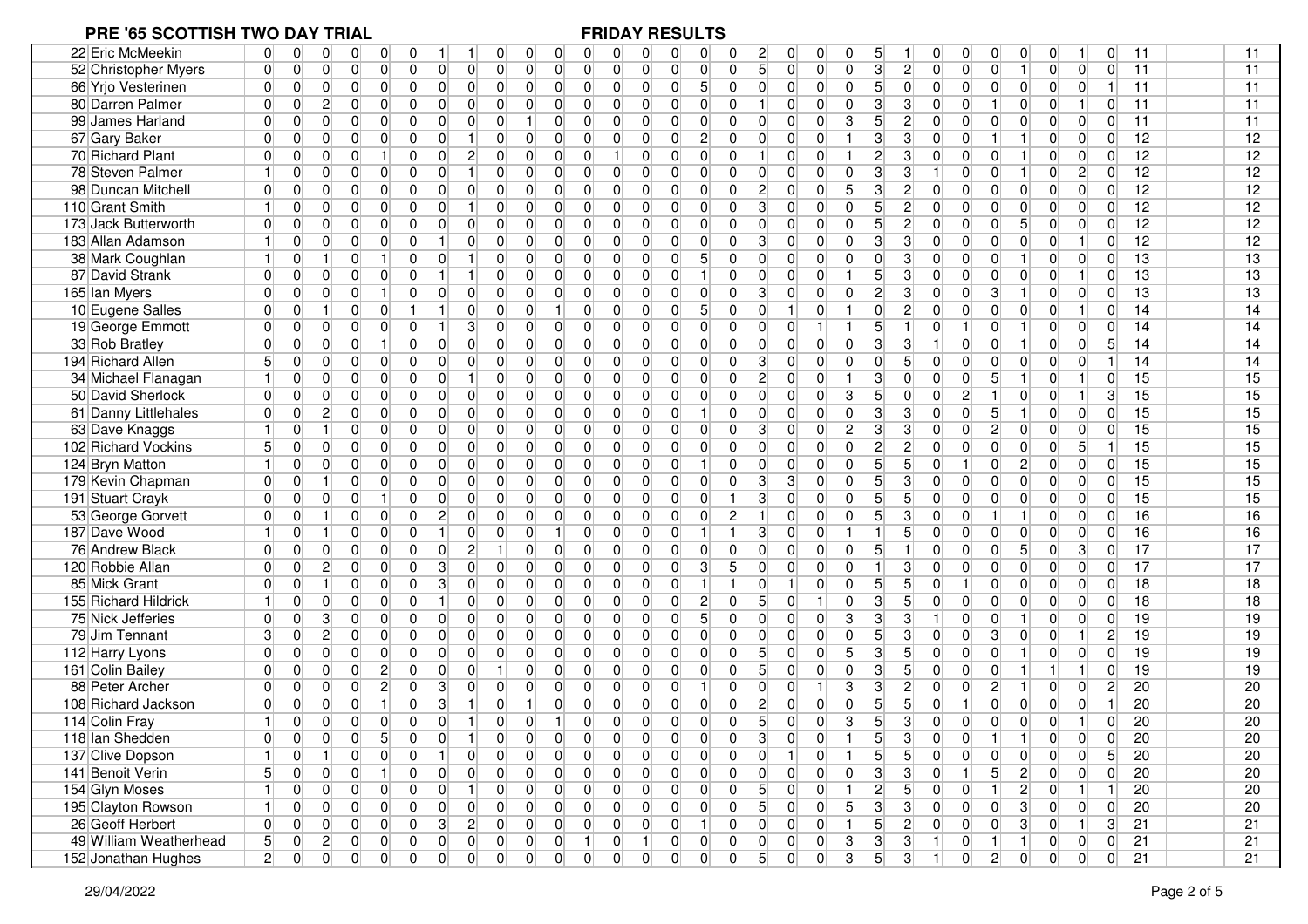| 22 Eric McMeekin       | 0<br>0<br>0<br>0                                                     | 0<br>0                                                               | 0<br>0<br>0<br>0                                                     | 0<br>0<br>0<br>0                                                     | $\overline{c}$<br>0<br>0<br>0<br>0                                                       | 5<br>0<br>0                                                                    | 0<br>0<br>11<br>0<br>-1                                                                | 11 |
|------------------------|----------------------------------------------------------------------|----------------------------------------------------------------------|----------------------------------------------------------------------|----------------------------------------------------------------------|------------------------------------------------------------------------------------------|--------------------------------------------------------------------------------|----------------------------------------------------------------------------------------|----|
| 52 Christopher Myers   | $\overline{0}$<br>$\overline{0}$<br>0<br>$\overline{0}$              | 0 <br>$\overline{0}$<br>$\overline{0}$<br>$\overline{0}$             | $\overline{0}$<br>$\overline{0}$<br>$\overline{0}$<br>$\overline{0}$ | $\overline{0}$<br>$\overline{0}$<br>$\overline{0}$<br>$\overline{0}$ | 5 <sup>1</sup><br>$\overline{0}$<br>$\overline{0}$<br>$\overline{0}$<br>$\overline{0}$   | $\mathbf{3}$<br>$\overline{2}$<br>$\overline{0}$<br>$\overline{0}$             | $\overline{0}$<br>11<br>$\Omega$<br>$\overline{0}$<br>$\overline{0}$<br>$\mathbf{1}$   | 11 |
| 66 Yrjo Vesterinen     | $\overline{0}$<br>0<br>0<br>$\overline{0}$                           | $\overline{0}$<br>$\overline{0}$<br>$\overline{0}$<br>$\overline{0}$ | $\overline{0}$<br>$\overline{0}$<br>0<br>$\overline{0}$              | $\overline{0}$<br>$\overline{0}$<br>$\overline{0}$<br>5 <sup>1</sup> | $\overline{0}$<br>$\overline{0}$<br>$\overline{0}$<br>$\overline{0}$<br> 0               | 5 <sup>1</sup><br>$\overline{0}$<br>$\overline{0}$<br>$\overline{0}$           | 11<br>$\vert 0 \vert$<br>$\overline{0}$<br>$\overline{0}$<br>$\Omega$                  | 11 |
| 80 Darren Palmer       | 0<br>$\mathbf{2}$<br>$\overline{0}$<br>0                             | $\overline{0}$<br>$\overline{0}$<br>0<br>$\mathbf 0$                 | 0<br>0<br>0<br>$\overline{0}$                                        | 0 <br>$\overline{0}$<br>$\overline{0}$<br>$\overline{0}$             | $\overline{0}$<br>$\mathbf 0$<br>$\overline{0}$<br> 0                                    | 3<br>3<br>$\Omega$<br>$\Omega$                                                 | 11<br>0<br>$\overline{0}$<br>$\vert$ 1<br>$\Omega$                                     | 11 |
| 99 James Harland       | $\overline{0}$<br>$\overline{0}$<br>$\overline{0}$<br>$\overline{0}$ | $\overline{0}$<br>0<br>$\overline{0}$<br>$\overline{0}$              | $\overline{0}$<br>0<br>$\overline{0}$                                | $\overline{0}$<br>$\overline{0}$<br>$\overline{0}$<br>$\overline{0}$ | $\mathbf{3}$<br>$\overline{0}$<br>$\overline{0}$<br>$\overline{0}$<br>$\overline{0}$     | 5 <sup>1</sup><br>$\overline{c}$<br>$\Omega$<br>$\Omega$                       | 0<br>0<br>$\overline{0}$<br>0<br>11<br>0                                               | 11 |
| 67 Gary Baker          | $\overline{0}$<br>0<br>$\overline{0}$<br>0                           | $\overline{0}$<br>0<br>$\overline{0}$                                | $\Omega$<br>0<br>0<br>$\overline{0}$                                 | $\overline{0}$<br>0<br>$\overline{0}$<br>$\mathbf{2}$                | $\Omega$<br>$\overline{0}$<br>$\overline{0}$<br>$\overline{0}$<br>$\mathbf{1}$           | 3<br>3<br>$\overline{0}$<br>$\Omega$                                           | 12<br>$\mathbf{1}$<br>$\overline{0}$<br>$\overline{0}$<br>$\Omega$                     | 12 |
| 70 Richard Plant       | $\overline{0}$<br>$\overline{0}$<br>0<br>$\overline{0}$              | 1 <sup>1</sup><br>0<br>$\mathbf{2}$<br>$\mathbf 0$                   | 0<br>0<br>$\overline{0}$<br>0                                        | $\overline{0}$<br>0<br>$\mathbf 0$                                   | $\overline{0}$<br>$\overline{0}$<br>$\overline{0}$                                       | $2\vert$<br>3<br>$\overline{0}$<br>$\Omega$<br>U                               | 12<br>$\mathbf{1}$<br>$\overline{0}$<br>$\overline{0}$<br>$\overline{0}$               | 12 |
| 78 Steven Palmer       | $\overline{0}$<br>1<br>0<br>$\overline{0}$                           | $\overline{0}$<br>$\overline{0}$<br>$\mathbf 0$<br>$\vert$           | $\overline{0}$<br>$\overline{0}$<br>$\overline{0}$<br>$\overline{0}$ | $\overline{0}$<br>0<br>$\mathbf 0$<br>$\overline{0}$                 | $\overline{0}$<br>$\overline{0}$<br>$\overline{0}$<br>$\overline{0}$<br>$\overline{0}$   | $\overline{3}$<br>$\overline{3}$<br>$\overline{0}$<br>U                        | 12<br>$\mathbf{2}$<br>$\mathbf{1}$<br>$\overline{0}$<br>$\overline{0}$                 | 12 |
| 98 Duncan Mitchell     | 0<br>$\overline{0}$<br>$\overline{0}$<br>$\overline{0}$              | $\overline{0}$<br> 0 <br>$\overline{0}$<br>$\overline{0}$            | $\overline{0}$<br>$\mathbf 0$<br>0<br>0                              | $\overline{0}$<br>$\mathbf 0$<br>$\overline{0}$<br>$\overline{0}$    | $\overline{0}$<br>$2\vert$<br>$\overline{0}$<br>5 <sup>1</sup><br>$\overline{0}$         | 3 <sup>1</sup><br>$\overline{c}$<br>$\overline{0}$<br>$\Omega$                 | $\mathbf 0$<br>$\overline{0}$<br>$\overline{0}$<br>12<br>$\Omega$<br>$\Omega$          | 12 |
| 110 Grant Smith        | $\mathbf{1}$<br>0<br>$\overline{0}$<br>0                             | $\overline{0}$<br>0<br>$\vert$<br>$\overline{0}$                     | $\overline{0}$<br>0<br>0<br>0                                        | $\overline{0}$<br>$\overline{0}$<br>$\overline{0}$<br>$\overline{0}$ | $\overline{0}$<br>3<br>$\overline{0}$<br>$\overline{0}$<br>$\overline{0}$                | 5 <sup>1</sup><br>$\overline{c}$<br>$\overline{0}$<br>$\overline{0}$           | 12<br>0<br>0<br>$\overline{0}$<br>$\overline{0}$<br>$\overline{0}$                     | 12 |
| 173 Jack Butterworth   | $\overline{0}$<br>$\overline{0}$<br>0<br>$\overline{0}$              | 0 <br>0<br>$\overline{0}$<br>$\overline{0}$                          | $\overline{0}$<br>0<br>$\overline{0}$<br>0                           | $\overline{0}$<br>$\overline{0}$<br>$\overline{0}$<br>$\overline{0}$ | $\overline{0}$<br>0<br>$\overline{0}$<br>$\overline{0}$<br>$\overline{0}$                | 5 <sup>1</sup><br>2<br>$\overline{0}$<br>$\overline{0}$                        | 12<br>$\Omega$<br>5<br>$\overline{0}$<br>$\overline{0}$<br>$\Omega$                    | 12 |
| 183 Allan Adamson      | 0<br>0<br>$\overline{0}$                                             | 0 <br>$\overline{0}$<br>$\overline{0}$                               | $\overline{0}$<br>$\overline{0}$<br>0<br>0                           | $\overline{0}$<br>0<br>$\overline{0}$<br>$\overline{0}$              | $\overline{0}$<br>3<br>$\overline{0}$<br>$\overline{0}$<br>$\overline{0}$                | 3<br>3<br>$\overline{0}$<br>$\Omega$                                           | 12<br>$\Omega$<br>0<br>$\overline{0}$<br>$\mathbf{1}$<br>$\Omega$                      | 12 |
| 38 Mark Coughlan       | 0<br>$\overline{0}$<br>1<br>1                                        | 0<br>11<br>$\overline{0}$<br>$\mathbf{1}$                            | $\overline{0}$<br>0<br>0<br>$\overline{0}$                           | $\overline{0}$<br>5 <sup>1</sup><br>0<br>$\overline{0}$              | 0 <br>$\overline{0}$<br>$\overline{0}$<br>$\overline{0}$<br>$\overline{0}$               | $\overline{0}$<br>3<br>$\overline{0}$<br>0                                     | 13<br>$\Omega$<br>$\overline{0}$<br>$\overline{0}$<br>$\mathbf{1}$<br>$\overline{0}$   | 13 |
| 87 David Strank        | $\overline{0}$<br>0<br>$\overline{0}$<br>$\overline{0}$              | $\overline{0}$<br>$\overline{0}$<br>$\vert$<br>1                     | $\overline{0}$<br>$\overline{0}$<br>0<br>$\overline{0}$              | $\overline{0}$<br>$\overline{0}$<br>$\mathbf 0$<br>$\mathbf{1}$      | $\overline{0}$<br>$\overline{0}$<br>$\boldsymbol{0}$<br>$\overline{0}$<br>1 <sup>1</sup> | 3<br>5 <sup>1</sup><br>$\overline{0}$<br>$\overline{0}$                        | $\overline{0}$<br>1 <sup>1</sup><br>13<br>$\Omega$<br>$\overline{0}$<br>$\overline{0}$ | 13 |
| 165 Ian Myers          | $\Omega$<br>$\overline{0}$<br>$\overline{0}$<br>$\overline{0}$       | 1<br>$\overline{0}$<br>$\overline{0}$<br> 0                          | $\overline{0}$<br>$\overline{0}$<br>$\overline{0}$<br>$\overline{0}$ | $\overline{0}$<br>$\overline{0}$<br>$\overline{0}$<br>$\overline{0}$ | $\overline{0}$<br>3 <sup>1</sup><br>$\overline{0}$<br>$\overline{0}$<br> 0               | 2 <sup>1</sup><br>3<br>$\overline{0}$<br>$\Omega$                              | 3<br>$\mathbf{1}$<br>$\overline{0}$<br>13<br>$\overline{0}$<br>$\Omega$                | 13 |
| 10 Eugene Salles       | $\overline{0}$<br>$\overline{0}$<br>$\overline{0}$<br>-1             | $\overline{0}$<br>$\overline{0}$<br>11                               | $\overline{0}$<br>0<br>$\mathbf{1}$<br>$\overline{0}$                | $\overline{0}$<br>5 <sup>1</sup><br>$\overline{0}$<br>$\overline{0}$ | $\overline{0}$<br>0<br>$\overline{0}$<br>1<br>$\mathbf{1}$                               | $\overline{c}$<br>$\overline{0}$<br>$\overline{0}$<br>$\overline{0}$           | $\Omega$<br>0<br>$\overline{0}$<br>11<br>14<br>$\overline{0}$                          | 14 |
| 19 George Emmott       | $\Omega$<br>$\overline{0}$<br>$\overline{0}$<br>$\overline{0}$       | 3 <sup>1</sup><br> 0 <br>0                                           | $\overline{0}$<br>0<br>0<br>$\overline{0}$                           | $\overline{0}$<br>0<br>$\mathbf 0$<br>$\Omega$                       | $\overline{0}$<br>$\Omega$<br>$\overline{0}$<br>1 <sup>1</sup>                           | 5 <sup>1</sup><br>$\mathbf{1}$<br>$\Omega$<br>$\mathbf{1}$                     | $\Omega$<br>$\mathbf{1}$<br>$\overline{0}$<br>0<br>$\Omega$<br>14                      | 14 |
| 33 Rob Bratley         | 0<br>$\overline{0}$<br>$\Omega$<br>$\overline{0}$                    | 1<br>0<br>$\overline{0}$<br>$\overline{0}$                           | $\overline{0}$<br>0<br>0<br>$\overline{0}$                           | $\overline{0}$<br>0<br>$\overline{0}$<br>$\Omega$                    | $\overline{0}$<br>$\Omega$<br> 0 <br>$\overline{0}$<br>$\overline{0}$                    | 3 <sup>1</sup><br>3<br>$\Omega$                                                | 14<br>$\overline{0}$<br>$\overline{0}$<br>O<br>$\mathbf 1$                             | 14 |
| 194 Richard Allen      | 5<br>0<br>$\Omega$<br>0                                              | 0 <br>0<br>$\overline{0}$<br>0                                       | $\overline{0}$<br>0<br>0<br>$\overline{0}$                           | $\overline{0}$<br>0<br>$\overline{0}$<br>$\overline{0}$              | 3 <sup>1</sup><br>$\overline{0}$<br>$\overline{0}$<br>$\overline{0}$<br>$\overline{0}$   | $\overline{0}$<br>5<br>$\Omega$<br>$\overline{0}$                              | 0<br>0<br>$\overline{0}$<br>14<br>0                                                    | 14 |
| 34 Michael Flanagan    | $\overline{0}$<br>0<br>0<br>11                                       | 0 <br>$\overline{0}$<br>$\overline{0}$                               | $\overline{0}$<br>$\overline{0}$<br>$\overline{0}$<br>0              | $\overline{0}$<br>0<br>$\mathbf 0$<br>$\overline{0}$                 | $\overline{2}$<br>$\overline{0}$<br>$\overline{0}$<br>$\overline{0}$                     | 3<br>$\mathbf 0$<br>$\overline{0}$<br>$\overline{0}$                           | 5<br>15<br>$\mathbf{1}$<br>$\overline{0}$<br>11<br>$\overline{0}$                      | 15 |
| 50 David Sherlock      | $\overline{0}$<br>$\overline{0}$<br>$\overline{0}$<br>$\overline{0}$ | $\overline{0}$<br>$\overline{0}$<br>$\overline{0}$<br>$\overline{0}$ | $\overline{0}$<br>0<br>0<br>$\overline{0}$                           | $\overline{0}$<br>$\overline{0}$<br>$\Omega$<br>$\overline{0}$       | $\overline{3}$<br>$\overline{0}$<br>$\overline{0}$<br>$\mathbf 0$<br>$\overline{0}$      | $\overline{2}$<br>5 <sup>1</sup><br>$\mathbf 0$<br>$\Omega$                    | 1<br>15<br>0<br>$\overline{0}$<br>3                                                    | 15 |
| 61 Danny Littlehales   | $\Omega$<br>$\overline{0}$<br>$\overline{2}$<br>$\overline{0}$       | $\overline{0}$<br>0<br>$\overline{0}$<br>$\overline{0}$              | $\overline{0}$<br>0<br>0<br>$\overline{0}$                           | $\overline{0}$<br>$\overline{0}$<br>$\mathbf 0$                      | $\overline{0}$<br>0<br>$\overline{0}$<br>$\overline{0}$<br>$\overline{0}$                | 3 <sup>1</sup><br>3<br>$\overline{0}$<br>$\overline{0}$                        | 15<br>5<br>$\mathbf{1}$<br>$\overline{0}$<br>$\Omega$<br>0                             | 15 |
| 63 Dave Knaggs         | $\vert$<br>0<br>0                                                    | 0<br>0<br>0<br>$\mathbf{0}$                                          | $\overline{0}$<br>0<br>0<br>0                                        | $\overline{0}$<br>0<br>$\overline{0}$<br>$\overline{0}$              | 0 <br>3<br>$\overline{0}$<br>$\mathbf{2}$<br>$\boldsymbol{0}$                            | 3<br>3<br>$\overline{0}$<br>0                                                  | $\mathbf{2}$<br>15<br>0<br>$\overline{0}$<br>$\overline{0}$<br>$\Omega$                | 15 |
| 102 Richard Vockins    | 5<br>$\Omega$<br>$\overline{0}$<br>$\overline{0}$                    | $\overline{0}$<br>0<br>$\overline{0}$<br>$\overline{0}$              | $\overline{0}$<br>0<br>0<br>$\overline{0}$                           | $\overline{0}$<br>$\Omega$<br>$\overline{0}$<br>$\Omega$             | $\overline{0}$<br>$\Omega$<br>$\overline{0}$<br>$\overline{0}$<br>$\overline{0}$         | $\overline{2}$<br>$\overline{2}$<br>$\Omega$<br>O                              | 5 <sup>1</sup><br>15<br>U<br>0<br>$\overline{0}$                                       | 15 |
| 124 Bryn Matton        | 0<br>1<br>$\overline{0}$<br>$\overline{0}$                           | $\overline{0}$<br>0<br>$\overline{0}$<br>$\overline{0}$              | $\overline{0}$<br>0<br>0<br>0                                        | $\overline{0}$<br>0<br>$\mathbf 0$                                   | $\overline{0}$<br>$\overline{0}$<br>$\overline{0}$<br>$\overline{0}$<br>$\overline{0}$   | 5 <sup>1</sup><br>5<br>$\mathbf{1}$<br>$\overline{0}$                          | 15<br>$\Omega$<br>$\overline{c}$<br>$\overline{0}$<br>$\overline{0}$<br>$\Omega$       | 15 |
| 179 Kevin Chapman      | 0<br>$\mathbf{1}$<br> 0 <br>0                                        | $\overline{0}$<br> 0 <br>$\overline{0}$<br> 0                        | 0<br>$\overline{0}$<br>$\overline{0}$<br>$\overline{0}$              | $\overline{0}$<br>$\overline{0}$<br>$\mathbf 0$<br>$\overline{0}$    | 3 <sup>1</sup><br>$\overline{0}$<br>3<br>$\overline{0}$<br> 0                            | 5 <sup>1</sup><br>3<br>$\overline{0}$<br>$\overline{0}$                        | $\Omega$<br> 0 <br>$\overline{0}$<br>$\overline{0}$<br>$\Omega$<br>15                  | 15 |
| 191 Stuart Crayk       | $\overline{0}$<br>$\overline{0}$<br>$\overline{0}$<br>$\overline{0}$ | 1<br>$\overline{0}$<br>$\overline{0}$<br>$\overline{0}$              | 0 <br>$\overline{0}$<br>$\overline{0}$<br>$\overline{0}$             | $\overline{0}$<br>$\overline{0}$<br>$\overline{0}$<br>$\Omega$       | 3 <sup>1</sup><br>$\mathbf 0$<br>$\overline{0}$<br>$\mathbf{1}$<br>$\overline{0}$        | 5 <sup>1</sup><br>5<br>$\overline{0}$<br>$\overline{0}$                        | 15<br>$\overline{0}$<br>$\Omega$<br>0<br>$\overline{0}$<br>$\Omega$                    | 15 |
| 53 George Gorvett      | $\Omega$<br>$\overline{0}$<br>$\overline{1}$<br>$\overline{0}$       | $\overline{2}$<br>$\overline{0}$<br> 0 <br> 0                        | $\overline{0}$<br>0<br>0<br>$\overline{0}$                           | $\overline{0}$<br>$\overline{0}$<br>$\overline{0}$<br>$\Omega$       | $\overline{2}$<br>$\overline{0}$<br>$\overline{0}$<br>$\overline{0}$                     | 5 <sup>1</sup><br>3<br>$\Omega$<br>$\overline{0}$                              | $\mathbf{1}$<br>$\overline{0}$<br>$\overline{0}$<br>$\Omega$<br>16                     | 16 |
| 187 Dave Wood          | $\mathbf{1}$<br>0<br>$\overline{0}$<br>-1                            | 0 <br>0<br>$\overline{0}$                                            | $\overline{0}$<br>$\overline{0}$<br>0                                | $\overline{0}$<br>$\overline{0}$<br>$\overline{0}$                   | 3 <sup>1</sup><br>$\overline{0}$<br>$\mathbf{1}$<br>$\overline{0}$<br>1                  | 5<br>$\Omega$<br>$\Omega$                                                      | $\overline{0}$<br>$\overline{0}$<br>16<br>0<br>0<br>$\overline{0}$                     | 16 |
| 76 Andrew Black        | $\overline{0}$<br>$\Omega$<br>$\overline{0}$<br>$\overline{0}$       | $\mathbf{2}$<br> 0 <br>0<br>$\overline{0}$                           | $\overline{0}$<br>$\overline{0}$<br>$\overline{0}$                   | $\overline{0}$<br>0<br>$\overline{0}$<br>$\Omega$                    | $\overline{0}$<br>$\Omega$<br>$\overline{0}$<br>$\overline{0}$<br>$\overline{0}$         | 5 <sup>1</sup><br>$\Omega$<br>$\Omega$                                         | 5<br>3 <sup>2</sup><br>17<br>$\Omega$<br>$\overline{0}$<br>$\Omega$                    | 17 |
| 120 Robbie Allan       | $\mathbf{2}$<br>$\overline{0}$<br>0<br>$\overline{0}$                | $\overline{0}$<br>3<br> 0 <br>$\overline{0}$                         | $\overline{0}$<br>$\overline{0}$<br>$\overline{0}$<br>0              | $\overline{0}$<br>0<br>$\overline{0}$<br>3                           | 5 <sup>1</sup><br>$\Omega$<br>$\overline{0}$<br>$\overline{0}$<br>$\Omega$               | 3<br>$\overline{0}$<br>$\Omega$                                                | $\mathbf 0$<br>$\overline{0}$<br>17<br>$\Omega$<br>$\overline{0}$<br>$\Omega$          | 17 |
| 85 Mick Grant          | 0<br>$\mathbf 1$<br>$\overline{0}$<br>0                              | $\overline{0}$<br>3<br> 0 <br>$\overline{0}$                         | 0 <br>0<br>$\overline{0}$<br>$\overline{0}$                          | $\overline{0}$<br>0<br>$\overline{0}$                                | $\overline{0}$<br>$\overline{0}$<br>$\overline{0}$                                       | 5 <sup>1</sup><br>5<br>$\mathbf{1}$<br>$\overline{0}$                          | $\overline{0}$<br>18<br>$\Omega$<br>0<br>$\overline{0}$<br>$\Omega$                    | 18 |
| 155 Richard Hildrick   | $\overline{0}$<br>1<br>$\overline{0}$<br>$\overline{0}$              | $\overline{0}$<br>$\overline{0}$<br> 0 <br>$\vert$                   | $\overline{0}$<br>$\overline{0}$<br>0<br>$\overline{0}$              | $\overline{2}$<br>$\overline{0}$<br>$\overline{0}$<br>$\overline{0}$ | 5 <sup>1</sup><br>$\overline{0}$<br>$\boldsymbol{0}$<br>$\overline{0}$<br>$\mathbf{1}$   | $\overline{5}$<br>3<br>$\overline{0}$<br>$\overline{0}$                        | $\overline{0}$<br>18<br>$\Omega$<br>0<br>$\overline{0}$<br>$\overline{0}$              | 18 |
| 75 Nick Jefferies      | 3<br>$\overline{0}$<br>$\overline{0}$<br>$\overline{0}$              | $\overline{0}$<br>$\overline{0}$<br>$\overline{0}$<br> 0             | $\overline{0}$<br>$\overline{0}$<br>$\mathbf 0$<br>$\overline{0}$    | 5 <sup>5</sup><br>$\overline{0}$<br>$\overline{0}$<br>$\overline{0}$ | $\overline{0}$<br>$\overline{0}$<br>$\overline{0}$<br>$\overline{0}$<br>3 <sup>1</sup>   | 3<br>3<br>$\overline{0}$                                                       | $\overline{1}$<br>$\overline{0}$<br>19<br>$\Omega$<br>$\overline{0}$<br>$\Omega$       | 19 |
| 79 Jim Tennant         | 3<br>0<br>$\mathbf{2}$<br>$\overline{0}$                             | $\overline{0}$<br>$\overline{0}$<br> 0 <br>$\overline{0}$            | $\overline{0}$<br>0<br>0<br>0                                        | $\overline{0}$<br>$\overline{0}$<br>$\overline{0}$<br>$\overline{0}$ | $\overline{0}$<br>$\overline{0}$<br>$\overline{0}$<br>$\overline{0}$<br>$\overline{0}$   | 5 <sup>1</sup><br>3<br>$\overline{0}$<br>$\overline{0}$<br>3                   | 0<br>$\overline{0}$<br>11<br>19<br>2                                                   | 19 |
| 112 Harry Lyons        | $\overline{0}$<br>0<br>$\overline{0}$<br>0                           | 0 <br>0<br>$\overline{0}$<br>$\mathbf 0$                             | $\overline{0}$<br>0<br>0<br>0                                        | $\overline{0}$<br>$\overline{0}$<br>$\overline{0}$<br>$\mathbf 0$    | 5<br> 0 <br>$\overline{0}$<br>5 <sup>5</sup><br>$\mathbf 0$                              | 3<br>5<br>$\overline{0}$<br>$\overline{0}$                                     | 19<br>$\Omega$<br>$\overline{0}$<br>$\overline{0}$<br>$\Omega$<br>$\mathbf 1$          | 19 |
| 161 Colin Bailey       | $\overline{0}$<br>0<br>0<br>$\overline{0}$                           | $\mathbf{2}$<br>0<br>$\overline{0}$<br>$\overline{0}$                | 0<br>0<br>$\overline{0}$                                             | $\overline{0}$<br>$\overline{0}$<br>$\overline{0}$<br>$\overline{0}$ | $\overline{0}$<br>5 <sup>1</sup><br> 0 <br>$\overline{0}$<br>$\overline{0}$              | 3<br>5<br>$\Omega$<br>$\overline{0}$                                           | 19<br>0<br>$\mathbf{1}$<br>11<br>$\Omega$<br>$\mathbf{1}$                              | 19 |
| 88 Peter Archer        | 0<br>$\overline{0}$<br>0<br>$\overline{0}$                           | $\mathbf{2}$<br>0<br>3<br>$\overline{0}$                             | $\overline{0}$<br>0<br>0<br>$\overline{0}$                           | $\overline{0}$<br>0<br>0                                             | $\overline{0}$<br>$\overline{0}$<br>3<br>$\mathbf 0$<br>-1                               | $\mathbf{3}$<br>$\overline{2}$<br>$\overline{0}$<br>$\overline{0}$             | $\overline{2}$<br>20<br>2<br>$\overline{0}$<br>$\mathbf{1}$<br>$\overline{0}$          | 20 |
| 108 Richard Jackson    | $\overline{0}$<br>$\overline{0}$<br>0<br>0                           | 1 <sup>1</sup><br>0<br>3<br>$\vert$                                  | 1 <sup>1</sup><br>$\overline{0}$<br>0<br>$\mathbf 0$                 | 0<br>$\overline{0}$<br>$\overline{0}$<br>$\overline{0}$              | 2 <br>$\mathbf 0$<br>$\overline{0}$<br>0<br>$\mathbf 0$                                  | 5<br>5<br>0                                                                    | 0<br>$\overline{0}$<br>$\overline{0}$<br>20<br>O                                       | 20 |
| 114 Colin Fray         | $\vert$ 1<br>$\overline{0}$<br>0<br>$\overline{0}$                   | $\overline{0}$<br>$\overline{0}$<br>$\mathbf 0$<br>$\vert$           | $\overline{0}$<br>$\overline{0}$<br>$\overline{0}$                   | $\overline{0}$<br>$\overline{0}$<br>$\overline{0}$<br>$\Omega$       | 5 <sup>1</sup><br>$\overline{3}$<br>$\overline{0}$<br>$\overline{0}$<br>$\overline{0}$   | 5 <sup>1</sup><br>3<br>$\Omega$<br>$\Omega$                                    | 20<br>0<br>$\overline{0}$<br>$\mathbf{1}$<br>$\Omega$<br>$\Omega$                      | 20 |
| 118 Ian Shedden        | 0 <br> 0 <br>$\overline{0}$<br>$\overline{0}$                        | 5 <sup>1</sup><br>$\overline{0}$<br>1<br>$\overline{0}$              | 0 <br>$\overline{0}$<br>$\overline{0}$<br>$\overline{0}$             | $\overline{0}$<br>$\Omega$<br>$\overline{0}$<br>$\cap$               | 3 <sup>1</sup><br>$\Omega$<br>$\Omega$<br>$\Omega$<br>$\overline{1}$                     | 5 <sup>1</sup><br>$\mathbf{3}$<br>$\Omega$<br>$\Omega$<br>$\blacktriangleleft$ | 0 <br>$\overline{0}$<br>20<br>$\mathbf{1}$<br>ΩL                                       | 20 |
| 137 Clive Dopson       | 0<br>0<br>$\vert$<br>$\mathbf 1$                                     | 0 <br> 0 <br> 0                                                      | 0<br>0<br>$\overline{0}$<br>0                                        | $\overline{0}$<br>$\overline{0}$<br>$\overline{0}$<br>0              | $\overline{0}$<br>$\overline{0}$<br>$\overline{0}$                                       | 5 <sup>1</sup><br>5 <sup>5</sup><br>$\Omega$<br>$\overline{0}$                 | 5 <sub>5</sub><br>20<br>$\overline{0}$<br>$\overline{0}$<br> 0 <br>$\Omega$            | 20 |
| 141 Benoit Verin       | 5 <sup>1</sup><br>0<br>$\overline{0}$<br> 0                          | 0 <br> 0 <br> 0 <br>1 <sup>1</sup>                                   | 0 <br>$\overline{0}$<br>$\overline{0}$<br>$\overline{0}$             | $\overline{0}$<br>$\overline{0}$<br> 0 <br> 0                        | $\overline{0}$<br>0<br>$\overline{0}$<br>$\overline{0}$<br> 0                            | 3 <sup>1</sup><br>3 <sup>2</sup><br>$\overline{0}$<br>$\vert$                  | 5 <sup>1</sup><br>20<br>$\vert$ 2<br> 0 <br>$\overline{0}$<br>$\overline{0}$           | 20 |
| 154 Glyn Moses         | $\vert$<br>$\overline{0}$<br>$\overline{0}$<br> 0                    | 0 <br> 0 <br> 0 <br>1 <sup>1</sup>                                   | 0 <br> 0 <br>$\overline{0}$<br>0                                     | $\overline{0}$<br>0<br> 0 <br> 0                                     | 5 <sup>2</sup><br> 0 <br> 0 <br> 0 <br>11                                                | 2 <br>5 <sub>l</sub><br> 0 <br>$\overline{0}$                                  | 20<br>$\vert$ 2<br>1 <sup>1</sup><br>$\overline{0}$<br>-1                              | 20 |
| 195 Clayton Rowson     | 0<br>$\vert$<br> 0 <br> 0                                            | 0 <br> 0 <br> 0 <br> 0                                               | 0 <br> 0 <br> 0 <br> 0                                               | 0 <br> 0 <br> 0 <br> 0                                               | 5 <sub>1</sub><br> 0 <br> 0 <br>5 <sup>2</sup><br> 0                                     | 3 <sup>2</sup><br>$\mathbf{3}$<br> 0 <br> 0                                    | 20<br>$\vert 3 \vert$<br>$\overline{0}$<br> 0 <br>$\overline{0}$<br>$\overline{0}$     | 20 |
| 26 Geoff Herbert       | 0 <br>0<br> 0 <br> 0                                                 | 0 <br> 0 <br> 3 <br>$2\vert$                                         | 0 <br> 0 <br>$\overline{0}$<br> 0                                    | 0 <br>$\overline{0}$<br> 0 <br>$\vert$ 1                             | 0 <br>$\overline{0}$<br> 0 <br> 0 <br>1 <sup>1</sup>                                     | $\overline{2}$<br>5 <sup>2</sup><br> 0 <br> 0                                  | 3 <br>1<br>3 <sup>1</sup><br>21<br> 0 <br> 0                                           | 21 |
| 49 William Weatherhead | 5 <sub>1</sub><br>2 <br> 0 <br> 0                                    | 0 <br> 0 <br> 0 <br> 0                                               | 0 <br> 0 <br> 0 <br>1                                                | 0 <br>1<br> 0 <br> 0                                                 | 3 <br> 0 <br> 0 <br> 0 <br> 0                                                            | 3 <sup>2</sup><br> 3 <br> 0 <br>11<br>$\vert$ 1                                | 0 <br>21<br>$\vert$ 1<br> 0 <br> 0                                                     | 21 |
| 152 Jonathan Hughes    | 2 <sup>1</sup><br> 0 <br> 0 <br> 0                                   | 0 <br> 0 <br> 0 <br> 0                                               | 0 <br> 0 <br> 0 <br>$\overline{0}$                                   | 0 <br>$\overline{0}$<br> 0 <br> 0                                    | 5 <sub>1</sub><br>3 <sup>2</sup><br> 0 <br> 0 <br> 0                                     | 5 <sub>1</sub><br>3 <sup>2</sup><br> 0                                         | 21<br>$2\vert$<br> 0 <br>$\overline{0}$<br> 0 <br> 0                                   | 21 |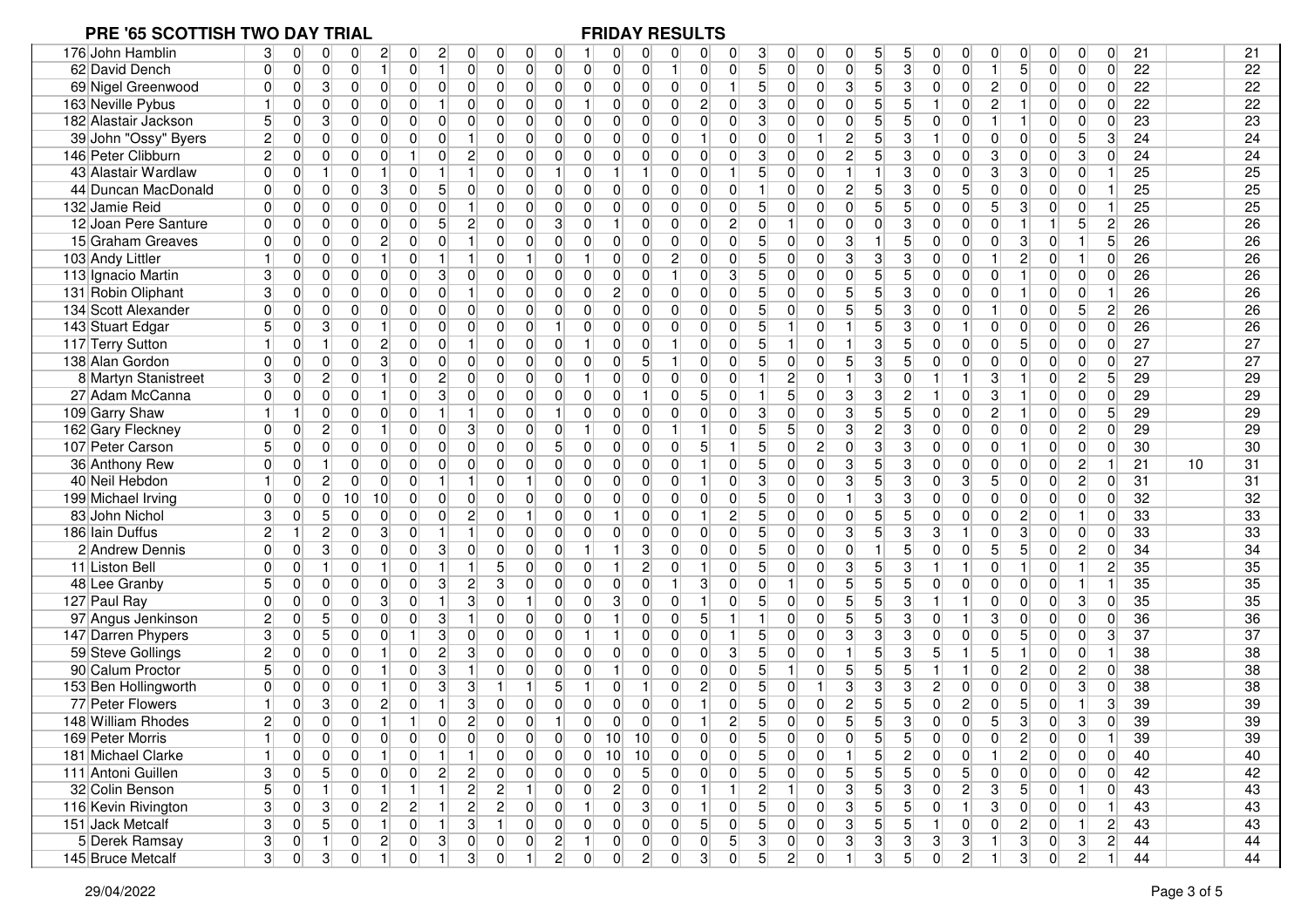| 176 John Hamblin     | 3<br>0<br>0                                  | 0<br>2<br>0<br>2<br>0                                                                  | 0<br>0                                                               | 0<br>0                                                               | 3<br>5<br>5<br>0<br>0<br>0<br>0<br>0<br>0                                                                                                                             | 21<br>$\Omega$<br>21<br>0<br>0<br>$\overline{0}$                               |
|----------------------|----------------------------------------------|----------------------------------------------------------------------------------------|----------------------------------------------------------------------|----------------------------------------------------------------------|-----------------------------------------------------------------------------------------------------------------------------------------------------------------------|--------------------------------------------------------------------------------|
| 62 David Dench       | $\overline{0}$<br>$\Omega$<br>$\overline{0}$ | $\mathbf{0}$<br>$\overline{0}$<br>0<br>11<br>$\mathbf{1}$                              | $\overline{0}$<br>$\overline{0}$<br>$\overline{0}$<br>$\overline{0}$ | $\overline{0}$<br>$\overline{0}$<br>$\overline{0}$<br>$\mathbf{1}$   | 5 <sup>1</sup><br>5 <sup>1</sup><br>$\mathbf{3}$<br>$\overline{0}$<br>$\Omega$<br>$\overline{0}$<br>$\overline{0}$<br>$\overline{0}$<br>0                             | $\overline{22}$<br>5<br>22<br>$\Omega$<br>$\overline{0}$<br>$\overline{0}$     |
| 69 Nigel Greenwood   | $\overline{0}$<br>$\mathbf{3}$<br>$\Omega$   | $\overline{0}$<br>$\overline{0}$<br>$\overline{0}$<br>$\overline{0}$<br>$\overline{0}$ | $\overline{0}$<br>$\overline{0}$<br>$\overline{0}$<br>$\overline{0}$ | $\overline{0}$<br>$\overline{0}$<br>$\overline{0}$<br>0              | 5 <sup>1</sup><br>5 <sup>1</sup><br>$\mathbf{2}$<br>$\mathbf{1}$<br> 3 <br>3<br>$\overline{0}$<br>$\overline{0}$<br>$\overline{0}$<br>$\overline{0}$                  | 22<br>22<br>$\overline{0}$<br>$\overline{0}$<br>$\Omega$<br>$\overline{0}$     |
| 163 Neville Pybus    | 0<br>$\Omega$                                | $\mathbf 0$<br>$\overline{0}$<br>0<br>$\Omega$                                         | $\mathbf{1}$<br>0<br>$\overline{0}$<br>$\overline{0}$                | $\overline{c}$<br>$\overline{0}$<br>0<br>$\overline{0}$              | 3<br>5<br>5<br>$\overline{2}$<br>$\overline{0}$<br>$\overline{0}$<br>$\overline{0}$<br>$\overline{0}$<br>0                                                            | 22<br>22<br>$\overline{0}$<br>$\overline{0}$<br>0                              |
| 182 Alastair Jackson | $\overline{0}$                               | $\overline{0}$<br>$\overline{0}$<br>$\overline{0}$<br>0<br>$\overline{0}$              | 0<br>$\overline{0}$<br>0<br>$\overline{0}$                           | $\overline{0}$<br>$\overline{0}$<br>$\overline{0}$<br>$\overline{0}$ | 5 <sup>1</sup><br>3<br>$\overline{0}$<br>$\Omega$<br>$\overline{0}$<br>5<br>$\Omega$<br>$\overline{0}$<br>0                                                           | 23<br>23<br>$\overline{0}$<br>$\overline{0}$<br>0                              |
| 39 John "Ossy" Byers | $\mathbf{2}$<br>$\Omega$<br>$\Omega$         | $\overline{0}$<br>$\overline{0}$<br>$\overline{0}$<br>$\Omega$                         | $\overline{0}$<br>$\overline{0}$<br>$\overline{0}$<br>$\overline{0}$ | $\overline{0}$<br>$\overline{0}$<br>$\overline{0}$                   | 5 <sup>1</sup><br>$\overline{0}$<br>$\overline{0}$<br>$\overline{2}$<br>3<br>$\Omega$<br>$\overline{0}$<br>0                                                          | 24<br>0<br>5<br>3<br>24<br>$\overline{0}$                                      |
| 146 Peter Clibburn   | $\mathbf{2}$<br>0<br>$\Omega$                | $\overline{c}$<br>$\mathbf 0$<br>$\overline{0}$<br>$\overline{0}$                      | 0<br>$\overline{0}$<br>0<br>$\overline{0}$                           | $\overline{0}$<br>$\overline{0}$<br>0<br>$\overline{0}$              | 5 <sup>1</sup><br>3<br>$\mathbf{2}$<br>3<br>3 <sup>1</sup><br>$\overline{0}$<br>$\overline{0}$<br>0<br>0<br>$\overline{0}$                                            | $\mathbf{3}$<br>24<br>0<br>$\Omega$<br>24<br>$\overline{0}$                    |
| 43 Alastair Wardlaw  | $\Omega$<br>$\overline{0}$                   | $\overline{0}$<br>$\overline{0}$<br>1                                                  | $\overline{0}$<br>0<br>$\overline{0}$<br>$\mathbf 1$                 | 1<br>1 <sup>1</sup><br>$\overline{0}$<br>$\overline{0}$              | 5 <sup>1</sup><br>$\overline{3}$<br>3<br>$\overline{0}$<br>$\overline{0}$<br>$\Omega$<br>$\Omega$                                                                     | 25<br>25<br>3<br>$\overline{0}$<br>$\overline{0}$                              |
| 44 Duncan MacDonald  | $\overline{0}$<br>$\Omega$<br>$\Omega$       | $\mathbf{0}$<br>$\mathbf{3}$<br>0<br>$\overline{0}$<br>5                               | $\overline{0}$<br>$\overline{0}$<br>$\overline{0}$<br>$\overline{0}$ | $\overline{0}$<br>$\overline{0}$<br>$\overline{0}$<br>$\overline{0}$ | $\overline{0}$<br>$\overline{2}$<br>5 <sup>2</sup><br>3<br>5 <sup>1</sup><br> 0 <br>1<br>0<br>$\overline{0}$<br>$\Omega$                                              | 0 <br>25<br>25<br>$\overline{0}$<br>$\overline{0}$                             |
| 132 Jamie Reid       | $\Omega$<br>0<br>$\Omega$                    | $\mathbf 0$<br>0<br>$\overline{0}$<br>$\mathbf{1}$<br>$\mathbf{0}$                     | 0<br>$\overline{0}$<br>0<br>0                                        | $\overline{0}$<br>$\overline{0}$<br>0<br>0                           | 5 <sup>1</sup><br>5<br>5<br> 0 <br>5 <sup>1</sup><br>$\overline{0}$<br>$\overline{0}$<br>$\overline{0}$<br>$\Omega$<br>0                                              | 25<br>3<br>$\overline{0}$<br>25<br>$\overline{0}$                              |
| 12 Joan Pere Santure | 0<br>$\Omega$<br>0                           | $\mathbf 0$<br>$\overline{0}$<br>$\overline{c}$<br>0<br>5                              | $\overline{0}$<br>3<br>$\overline{0}$<br>0                           | $\overline{0}$<br>1<br>$\overline{0}$<br>0                           | $\overline{c}$<br>0<br>$\overline{0}$<br>3<br>$\vert 0 \vert$<br>$\overline{0}$<br>$\overline{0}$<br>$\overline{0}$<br>$\overline{0}$                                 | 26<br>$\mathbf{2}$<br>26<br>$\overline{5}$                                     |
| 15 Graham Greaves    | $\Omega$<br>$\Omega$<br>$\Omega$             | $\overline{0}$<br>$\mathbf 0$<br>$\mathbf{2}$<br>$\Omega$<br>1                         | $\overline{0}$<br>0<br>0<br>$\overline{0}$                           | $\overline{0}$<br>$\overline{0}$<br>$\overline{0}$<br>$\overline{0}$ | 5 <sup>1</sup><br>$\mathbf{3}$<br>5<br> 0 <br>$\Omega$<br>$\overline{0}$<br>$\Omega$<br>$\overline{0}$<br>$\overline{0}$                                              | 3<br>5 <sup>1</sup><br>26<br>26<br>$\overline{0}$                              |
| 103 Andy Littler     | $\overline{0}$<br>0                          | $\overline{0}$<br>0<br>1<br>1                                                          | $\overline{0}$<br>1<br>$\overline{0}$<br>$\vert$ 1                   | $\overline{0}$<br>$\overline{2}$<br>0<br>$\overline{0}$              | 5 <sup>1</sup><br>3<br>$\overline{0}$<br>3<br>3<br>$\overline{0}$<br>0<br>$\overline{0}$<br>$\overline{0}$                                                            | 26<br>26<br>$\mathbf{2}$<br>$\Omega$<br>$\overline{0}$<br>1                    |
| 113 Ignacio Martin   | 3<br>0<br>$\overline{0}$                     | $\overline{0}$<br> 0 <br>$\overline{0}$<br>$\lvert 3 \rvert$<br>0                      | $\overline{0}$<br>$\overline{0}$<br>0<br>$\overline{0}$              | $\overline{0}$<br>$\overline{0}$<br>$\mathbf{1}$<br>$\overline{0}$   | 5 <sup>1</sup><br>$\mathbf{3}$<br>5<br>$\overline{5}$<br>$\overline{0}$<br>$\overline{0}$<br>$\overline{0}$<br>$\Omega$<br>$\overline{0}$<br>$\overline{0}$           | 26<br>26<br>$\mathbf{1}$<br>$\overline{0}$<br>$\overline{0}$<br>$\overline{0}$ |
| 131 Robin Oliphant   | $\overline{0}$<br>3<br>$\overline{0}$        | $\mathbf 0$<br>$\overline{0}$<br>$\overline{0}$<br>$\overline{0}$<br>1                 | $\overline{0}$<br>$\overline{0}$<br>0<br>$\overline{0}$              | $\overline{2}$<br>$\overline{0}$<br>$\overline{0}$<br>$\overline{0}$ | $\overline{0}$<br>5 <sup>1</sup><br>5 <sup>1</sup><br>5 <sup>2</sup><br>3<br> 0 <br>$\overline{0}$<br>$\overline{0}$<br>$\overline{0}$<br>$\overline{0}$              | $\overline{0}$<br>26<br>26<br>$\mathbf{1}$<br>$\overline{0}$                   |
| 134 Scott Alexander  | $\Omega$<br>0<br>$\Omega$                    | $\overline{0}$<br>$\overline{0}$<br>$\overline{0}$<br>0<br>$\overline{0}$              | $\overline{0}$<br>$\overline{0}$<br>$\overline{0}$<br>$\overline{0}$ | $\overline{0}$<br>$\overline{0}$<br>$\overline{0}$<br>0              | 5 <sup>1</sup><br>5 <sup>1</sup><br>5 <sup>1</sup><br>$\overline{0}$<br>$\mathbf 0$<br>$\overline{0}$<br>3<br>$\Omega$<br>$\overline{0}$                              | 5 <sup>5</sup><br>26<br>26<br>0<br>$\overline{0}$<br>$\overline{2}$            |
| 143 Stuart Edgar     | $\Omega$                                     | $\mathbf 0$<br>$\overline{0}$<br>$\overline{0}$<br>0                                   | $\overline{0}$<br>$\overline{0}$<br>$\overline{0}$<br>1              | $\overline{0}$<br>$\overline{0}$<br>$\overline{0}$<br>$\mathbf{0}$   | 5 <sup>1</sup><br>5<br>3<br>$\overline{0}$<br>$\Omega$<br>1<br>$\Omega$<br>$\overline{0}$                                                                             | 26<br>26<br>0<br>$\overline{0}$<br>$\overline{0}$<br>0                         |
| 117 Terry Sutton     | $\Omega$                                     | $\overline{0}$<br>$\overline{0}$<br>$\overline{2}$<br>$\Omega$                         | 0<br>$\overline{1}$<br>0<br>$\overline{0}$                           | $\overline{0}$<br>$\overline{0}$<br>$\overline{0}$                   | 3<br>5 <sup>1</sup><br>5<br>$\overline{0}$<br>$\overline{0}$<br>$\overline{0}$<br>$\overline{0}$<br>$\Omega$                                                          | 5<br>27<br>27<br>$\overline{0}$<br>$\Omega$<br>O                               |
| 138 Alan Gordon      | 0<br>$\Omega$<br>$\Omega$                    | 3<br>$\overline{0}$<br>0<br>$\overline{0}$<br>$\overline{0}$                           | $\overline{0}$<br>0<br>$\overline{0}$<br>$\overline{0}$              | 5 <sup>1</sup><br>0<br>0                                             | 5 <sup>1</sup><br>3<br>5 <sup>5</sup><br>5<br>$\overline{0}$<br>$\overline{0}$<br>$\overline{0}$<br>0<br>0<br>0                                                       | 27<br>27<br>0<br>$\overline{0}$<br>$\mathbf{0}$<br>$\overline{0}$              |
| 8 Martyn Stanistreet | $\overline{0}$<br>3<br>2                     | $\overline{0}$<br>$\overline{c}$<br>0<br>0                                             | $\overline{0}$<br>0<br>0<br>$\vert$ 1                                | $\overline{0}$<br>$\overline{0}$<br>$\overline{0}$<br>$\overline{0}$ | 3<br>3<br>$\overline{0}$<br>$\overline{c}$<br>$\overline{0}$<br>0                                                                                                     | $\overline{c}$<br>5 <sup>5</sup><br>29<br>29<br>$\overline{0}$                 |
| 27 Adam McCanna      | $\overline{0}$<br>$\Omega$<br>$\Omega$       | $\mathbf{0}$<br>$\overline{0}$<br>3<br>$\overline{0}$<br>1                             | $\overline{0}$<br>$\overline{0}$<br>0<br>$\overline{0}$              | 5 <sup>1</sup><br>$\overline{0}$<br>1<br>$\overline{0}$              | $\overline{3}$<br>$\overline{3}$<br>5<br>$\mathbf{2}$<br>$\overline{0}$<br>3 <sup>1</sup><br>$\overline{0}$<br>$\overline{0}$                                         | $\overline{0}$<br>29<br>29<br>$\overline{0}$<br>$\Omega$                       |
| 109 Garry Shaw       | $\overline{0}$                               | $\mathbf 0$<br>$\overline{0}$<br>$\overline{0}$<br>$\mathbf{1}$                        | $\overline{0}$<br>$\overline{1}$<br>$\overline{0}$<br>$\overline{0}$ | $\overline{0}$<br>$\overline{0}$<br>$\overline{0}$<br>$\overline{0}$ | 3<br>$\mathbf{3}$<br>5 <sup>1</sup><br>$\mathbf{2}$<br>$\overline{0}$<br>$\Omega$<br>0<br>5<br>$\Omega$<br>$\overline{0}$                                             | 29<br>29<br>$\overline{0}$<br>5 <sup>1</sup><br>$\mathbf{1}$<br>$\overline{0}$ |
| 162 Gary Fleckney    | $\overline{0}$<br>$\Omega$<br>2              | 3<br>$\mathbf 0$<br>$\overline{0}$<br>0                                                | $\overline{0}$<br>0<br>0<br>$\mathbf{1}$                             | 0<br>$\overline{0}$                                                  | 5 <sup>1</sup><br>$\mathbf{3}$<br>$\mathsf{2}\vert$<br>$\vert 0 \vert$<br> 0 <br>$\overline{0}$<br>5<br>$\overline{0}$<br>3<br>$\Omega$                               | 29<br>29<br> 0 <br>$\overline{0}$<br>$\overline{2}$<br>0                       |
| 107 Peter Carson     | $\Omega$<br>O                                | $\overline{0}$<br>$\overline{0}$<br>$\overline{0}$<br>$\Omega$<br>$\Omega$             | 0<br>5<br>$\overline{0}$<br>0                                        | $\overline{0}$<br>$\overline{0}$<br>5 <sup>1</sup><br>$\overline{0}$ | 5 <sup>1</sup><br>3<br>$\overline{2}$<br>3<br>$\Omega$<br>$\overline{0}$<br>$\overline{0}$<br>$\Omega$<br>$\Omega$                                                    | 30<br>30<br>$\overline{0}$<br>$\overline{0}$<br>O                              |
| 36 Anthony Rew       | $\Omega$<br>$\overline{0}$                   | $\overline{0}$<br>0<br>$\overline{0}$<br>$\overline{0}$<br>0                           | $\overline{0}$<br>$\overline{0}$<br>$\overline{0}$<br>$\overline{0}$ | $\overline{0}$<br>$\overline{0}$<br>$\mathbf{0}$                     | 5 <sup>1</sup><br>5 <sup>1</sup><br>$\mathbf{3}$<br>$\overline{0}$<br>3<br>$\overline{0}$<br>$\overline{0}$<br>0<br>$\overline{0}$<br>$\overline{0}$                  | 0<br>$\overline{0}$<br>$\overline{2}$<br>21<br>31<br>10                        |
| 40 Neil Hebdon       | $\mathbf{2}$<br>0                            | $\mathbf 0$<br>$\overline{0}$<br>$\overline{0}$<br>1                                   | 1<br>$\overline{0}$<br>$\overline{0}$<br>$\overline{0}$              | $\overline{0}$<br>$\overline{0}$<br>$\overline{0}$<br>$\mathbf{1}$   | 5 <sup>1</sup><br>3<br>$\mathbf{3}$<br>3<br>$\mathbf{3}$<br>5 <sup>1</sup><br>$\overline{0}$<br>$\overline{0}$<br>$\overline{0}$<br>$\overline{0}$                    | $\overline{0}$<br>$\overline{c}$<br>$\Omega$<br>31<br>31<br> 0                 |
| 199 Michael Irving   | $\Omega$<br>0<br>$\overline{0}$              | 10<br>10<br>$\overline{0}$<br>$\overline{0}$<br>$\overline{0}$                         | $\overline{0}$<br>0<br>$\overline{0}$<br>$\overline{0}$              | $\overline{0}$<br>$\overline{0}$<br>$\overline{0}$<br>$\overline{0}$ | 5 <sup>1</sup><br>$\overline{0}$<br>3<br>3<br>$\overline{0}$<br>$\Omega$<br>$\Omega$<br>$\overline{0}$<br>$\overline{0}$                                              | 32<br>32<br>0<br>$\overline{0}$<br>$\overline{0}$<br>$\Omega$                  |
| 83 John Nichol       | 3<br>$\Omega$<br>5                           | $\overline{2}$<br>$\overline{0}$<br>$\overline{0}$<br>$\overline{0}$<br>$\overline{0}$ | $\overline{0}$<br>$\mathbf{1}$<br>0<br>$\overline{0}$                | $\vert$ 1<br>$\overline{0}$<br>$\overline{0}$<br>$\mathbf{1}$        | $\overline{2}$<br>5 <sup>5</sup><br>$\overline{0}$<br>5<br>5<br>0<br>$\Omega$<br>$\Omega$<br>$\overline{0}$<br>$\overline{0}$                                         | 33<br>33<br>$\overline{2}$<br>1<br>$\Omega$<br>$\overline{0}$                  |
| 186 Iain Duffus      | $\overline{2}$<br>2                          | $\overline{0}$<br>3<br>$\overline{0}$<br>$\mathbf{1}$                                  | $\overline{0}$<br>0<br>$\overline{0}$<br>$\overline{0}$              | $\overline{0}$<br>$\overline{0}$<br>$\overline{0}$<br>0              | 5 <sup>1</sup><br>$\mathbf{3}$<br>5<br>3<br>$\mathbf{3}$<br>$\overline{0}$<br>$\overline{0}$<br>$\overline{0}$<br>0                                                   | 3<br>33<br>33<br>$\overline{0}$<br>$\overline{0}$<br>0                         |
| 2 Andrew Dennis      | $\Omega$<br>$\Omega$                         | $\overline{0}$<br>$\Omega$<br>0<br>3<br>$\Omega$                                       | $\overline{0}$<br>$\overline{0}$<br>$\overline{1}$<br>$\overline{0}$ | 3<br>1<br>$\overline{0}$<br>0                                        | 5 <sup>1</sup><br>5 <sup>1</sup><br>5<br>$\overline{0}$<br>$\overline{0}$<br>$\overline{0}$<br>$\Omega$<br>$\overline{0}$<br>0                                        | 34<br>5<br>$\mathbf{2}$<br>34<br>$\overline{0}$<br>$\Omega$                    |
| 11 Liston Bell       | $\Omega$<br>$\Omega$                         | $\overline{0}$<br>$\mathbf 0$                                                          | 5<br>0<br>$\overline{0}$<br>$\Omega$                                 | $2\vert$<br>$\mathbf{1}$<br>$\Omega$                                 | 5 <sup>1</sup><br>$\mathbf{3}$<br>5<br>3<br>$\overline{0}$<br>$\overline{0}$<br>$\overline{0}$<br>0                                                                   | $\overline{2}$<br>35<br>35<br>$\overline{0}$                                   |
| 48 Lee Granby        | 5<br>0<br>$\Omega$                           | $\overline{0}$<br>$\overline{0}$<br>3 <sup>1</sup><br>$\overline{c}$<br>$\mathbf 0$    | $\mathbf{3}$<br>$\overline{0}$<br>$\overline{0}$<br>$\overline{0}$   | $\overline{0}$<br> 0 <br>$\mathbf{3}$                                | $\overline{5}$<br>5 <sup>1</sup><br>$\overline{0}$<br>5<br>$\overline{0}$<br>$\overline{0}$<br>$\overline{0}$<br>$\overline{0}$<br>$\overline{0}$                     | 35<br>35<br> 0 <br>$\overline{0}$<br>1                                         |
| 127 Paul Ray         | $\overline{0}$<br>0<br>0                     | 3<br>3<br>$\overline{0}$<br>$\mathbf 0$<br>1                                           | $\overline{0}$<br>1<br>$\overline{0}$<br>0                           | $\overline{3}$<br> 0 <br>$\mathbf{1}$<br>$\overline{0}$              | 5 <sup>1</sup><br>$\overline{5}$<br>5 <sup>1</sup><br>3<br>$\overline{0}$<br>$\overline{0}$<br>$\overline{0}$<br>$\Omega$                                             | 35<br>35<br>0<br>3 <sup>1</sup><br>$\overline{0}$<br>$\overline{0}$            |
| 97 Angus Jenkinson   | $\overline{2}$<br>$\overline{0}$<br>5        | $\mathbf 0$<br>$\overline{0}$<br>$\overline{0}$<br>3<br>$\mathbf{1}$                   | $\overline{0}$<br>$\overline{0}$<br>0<br>$\overline{0}$              | 1<br>$\overline{0}$<br>5 <sup>1</sup><br>$\overline{0}$              | 5<br>5 <sup>1</sup><br>$\blacktriangleleft$<br>$\mathbf{3}$<br>3 <sup>1</sup><br>0<br>$\overline{0}$<br>$\overline{0}$                                                | 0 <br>$\overline{0}$<br>36<br>36<br>$\overline{0}$<br>$\Omega$                 |
| 147 Darren Phypers   | 0<br>5                                       | 3<br>0<br>0<br>0<br>1                                                                  | $\mathbf{1}$<br>0<br>$\overline{0}$<br>0                             | $\overline{0}$<br>$\vert$ 1<br>0<br>$\overline{0}$                   | 5 <sup>1</sup><br>3 <sup>1</sup><br> 0 <br>3<br>3<br>$\overline{0}$<br>0<br>$\overline{0}$<br>$\overline{0}$                                                          | 5<br>37<br>37<br>3<br>$\overline{0}$<br>$\overline{0}$                         |
| 59 Steve Gollings    | $\mathbf{2}$<br>0                            | 3<br>$\overline{0}$<br>$\overline{2}$<br>0                                             | $\overline{0}$<br>$\overline{0}$<br>0<br>$\overline{0}$              | $\overline{0}$<br>$\overline{0}$<br>$\overline{0}$<br>$\overline{0}$ | $\overline{5}$<br>5 <sup>1</sup><br>3<br>5<br>5<br>$\overline{0}$<br>1<br>3<br>0<br>$\mathbf{1}$                                                                      | 38<br>38<br>$\overline{0}$<br>$\overline{0}$                                   |
| 90 Calum Proctor     | $\Omega$<br>0                                | 3<br>$\mathbf 0$<br>0<br>1                                                             | $\overline{0}$<br>$\overline{0}$<br>$\overline{0}$<br>$\overline{0}$ | $\mathbf{1}$<br>0<br>$\mathbf{0}$<br>$\overline{0}$                  | 5 <sup>1</sup><br>5 <sup>1</sup><br>5<br>5<br>$\overline{0}$<br>1<br>$\overline{0}$<br>$\overline{0}$                                                                 | $\overline{2}$<br>38<br>38<br>$\overline{0}$<br>$\overline{2}$<br>$\Omega$     |
| 153 Ben Hollingworth | 0<br>$\Omega$<br>0                           | $\mathbf 0$<br>$\overline{0}$<br>3<br>3<br>11                                          | 5<br>$\mathbf{1}$<br>1<br>$\vert$ 1                                  | $\overline{c}$<br>0<br>11<br>$\mathbf 0$                             | 5 <sup>1</sup><br>3<br>0<br>3<br>3<br>$\overline{2}$<br>$\overline{0}$<br>$\overline{0}$<br>0                                                                         | $\mathbf{3}$<br>38<br>0<br>$\Omega$<br>38<br>$\overline{0}$                    |
| 77 Peter Flowers     | 3<br>0                                       | 3<br>$\overline{2}$<br>$\overline{0}$<br>0                                             | 0<br>$\overline{0}$<br>0<br>$\overline{0}$                           | $\overline{0}$<br>$\overline{0}$<br>$\overline{0}$                   | 5 <sup>1</sup><br>$5\vert$<br>$\overline{0}$<br>2<br>5<br>$\Omega$<br>2<br>$\Omega$<br>0<br>0                                                                         | 39<br>5<br>3<br>39<br>$\overline{0}$                                           |
| 148 William Rhodes   | $\overline{2}$<br>0<br>$\Omega$              | $\overline{c}$<br>$\mathbf{0}$<br>$\Omega$                                             | $\Omega$<br>0<br>$\overline{0}$<br>-1                                | $\Omega$<br>$\overline{0}$<br>$\overline{0}$                         | 5 <sup>1</sup><br>5<br>5 <sup>1</sup><br>5 <sup>2</sup><br>$\overline{2}$<br>3<br>0<br>$\overline{0}$<br>0<br>$\overline{0}$                                          | 3<br>3 <sup>1</sup><br>39<br>39<br>$\Omega$<br>$\overline{0}$                  |
| 169 Peter Morris     | $\overline{0}$<br>$\vert$<br>$\Omega$        | $\overline{0}$<br>$\overline{0}$<br>$\overline{0}$<br>$\cap$<br>$\Omega$               | $\overline{0}$<br>$\overline{0}$<br>$\Omega$<br>∩                    | 10<br>10<br>$\overline{0}$<br>$\overline{0}$                         | 5 <sup>1</sup><br>5 <sup>1</sup><br>5<br>$\Omega$<br>$\Omega$<br>$\Omega$<br>U<br>$\Omega$<br>$\Omega$<br>$\Omega$                                                    | 39<br>39<br>$\mathcal{D}$<br>$\Omega$<br>$\overline{0}$<br>$\mathbf{1}$        |
| 181 Michael Clarke   | 0<br>$\Omega$<br>-1                          | $\overline{0}$<br>$\overline{0}$<br>$\mathbf{1}$                                       | $\overline{0}$<br>0<br>$\overline{0}$<br>0                           | 10<br>10<br> 0 <br> 0                                                | 5 <sup>5</sup><br>5<br>$\mathbf{2}$<br>$\overline{0}$<br>$\overline{0}$<br>$\vert 0 \vert$<br>$\overline{0}$<br>0                                                     | $\mathbf{2}$<br>$\overline{0}$<br>$\overline{0}$<br>$\overline{0}$<br>40<br>40 |
| 111 Antoni Guillen   | $\overline{0}$<br>3                          | $\mathbf{2}$<br>$\overline{0}$<br>$\overline{2}$<br>$\Omega$<br>$\overline{0}$         | 0<br>$\overline{0}$<br>$\overline{0}$<br>$\overline{0}$              | 5 <sup>1</sup><br>0<br>$\overline{0}$<br>$\overline{0}$              | 5 <sub>l</sub><br>5 <sup>2</sup><br>5 <sup>1</sup><br>5 <sup>5</sup><br>5 <sup>2</sup><br> 0 <br>$\overline{0}$<br>$\overline{0}$<br>$\overline{0}$<br>$\overline{0}$ | 0 <br> 0 <br>$\overline{0}$<br>42<br>42<br>$\overline{0}$                      |
| 32 Colin Benson      | 5<br> 0                                      | $\mathbf{2}$<br> 0 <br>1<br>1 <sup>1</sup><br>11                                       | 2 <br>1 <sup>1</sup><br> 0 <br>$\overline{0}$                        | $\mathbf{2}$<br> 0 <br> 0 <br>$\vert$ 1                              | 5 <sup>2</sup><br>$2\vert$<br>$\mathbf{3}$<br>2 <br> 3 <br>3 <sup>2</sup><br>11<br>$\overline{0}$<br>$\overline{0}$                                                   | 43<br>$\vert 5 \vert$<br> 0 <br>43<br>$\overline{0}$<br>1 <sup>1</sup>         |
| 116 Kevin Rivington  | 3<br> 0 <br>3                                | $\overline{2}$<br>2 <br>$\mathbf{2}$<br>$\overline{0}$<br>11                           | 2 <br>$\overline{0}$<br>$\overline{0}$<br>$\vert$ 1                  | 3 <sup>2</sup><br> 0 <br> 0 <br>$\vert$ 1                            | 5 <sup>1</sup><br>5 <sup>2</sup><br>$\mathbf{3}$<br>5 <sup>5</sup><br>1<br>3 <sup>2</sup><br> 0 <br> 0 <br> 0 <br> 0                                                  | 0 <br>43<br>43<br> 0 <br>$\overline{0}$<br>1                                   |
| 151 Jack Metcalf     | 3<br>$\overline{0}$<br>5 <sup>5</sup>        | 3 <br>$\overline{0}$<br>1 <sup>1</sup><br> 0 <br>1 <sup>1</sup>                        | 1 <sup>1</sup><br> 0 <br> 0 <br> 0                                   | 0 <br> 0 <br>5 <sup>2</sup><br> 0                                    | 5 <sup>1</sup><br>$\overline{3}$<br>5 <sup>1</sup><br>5 <sup>5</sup><br> 0 <br>$\overline{0}$<br> 0 <br> 0 <br>$\overline{0}$<br>1 <sup>1</sup>                       | $\vert$ 2<br>$\mathbf{2}$<br>43<br>$\overline{0}$<br>11<br>43                  |
| 5 Derek Ramsay       | 3 <sup>2</sup><br> 0 <br>-11                 | $2\vert$<br> 3 <br> 0 <br> 0 <br> 0                                                    | $\vert$ 2<br> 0 <br> 0 <br>$\vert$ 1                                 | 0 <br> 0 <br> 0 <br> 0                                               | 5 <sup>2</sup><br> 3 <br> 3 <br> 3 <br> 3 <br> 3 <br> 3 <br> 0 <br> 0 <br>1                                                                                           | 3 <sup>2</sup><br>2 <br>44<br>44<br> 3 <br> 0                                  |
| 145 Bruce Metcalf    | 0 <br>3<br>3 <sup>2</sup>                    | 3 <sup>2</sup><br> 0 <br> 0 <br>1 <sup>1</sup><br>1 <sup>1</sup>                       | 0 <br>$\vert$ 1<br>2 <sup>2</sup><br>$\overline{0}$                  | $\overline{2}$<br>3<br> 0 <br> 0                                     | 5 <sup>2</sup><br>3 <sup>2</sup><br>$\overline{2}$<br> 0 <br>$2\vert$<br> 0 <br>1<br>5 <sup>2</sup><br> 0 <br>1                                                       | 3 <sup>2</sup><br> 0 <br>$2\vert$<br>44<br>44<br>1 <sup>1</sup>                |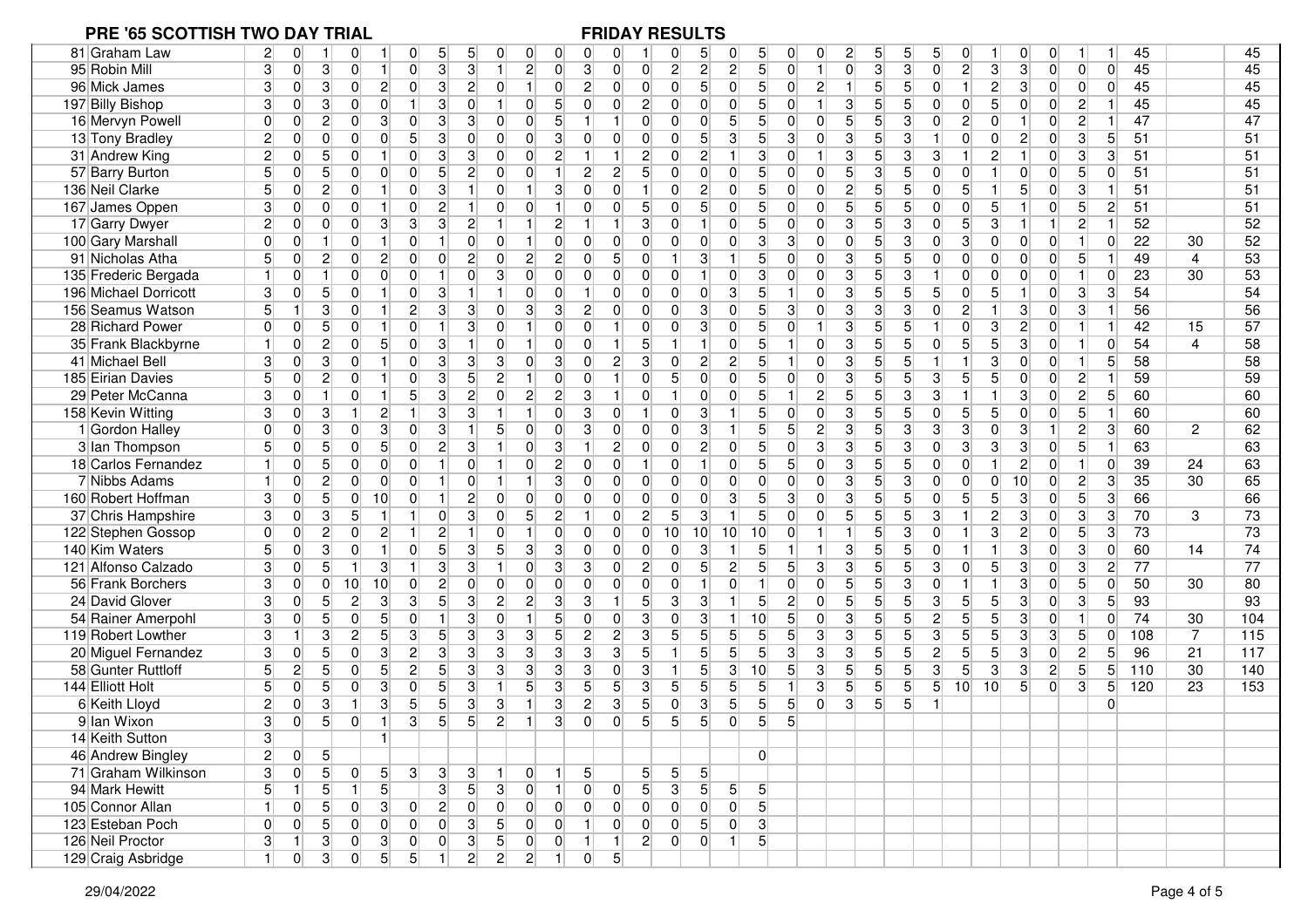| 81 Graham Law         | $2\vert$<br>$\overline{0}$       | $\overline{0}$                                     | 5<br>5 <sup>5</sup><br>0                           | $\overline{0}$<br>0              | 0<br>0                             | 0              |                      | 0<br>5                           | 5<br>0                           | 0               | 0              | $\overline{2}$<br>5 <sup>1</sup>  | 5               | 5              | 0                    | 0                                 | $\Omega$       |                 |                 | 45  |                | 45  |
|-----------------------|----------------------------------|----------------------------------------------------|----------------------------------------------------|----------------------------------|------------------------------------|----------------|----------------------|----------------------------------|----------------------------------|-----------------|----------------|-----------------------------------|-----------------|----------------|----------------------|-----------------------------------|----------------|-----------------|-----------------|-----|----------------|-----|
| 95 Robin Mill         | 3<br>$\overline{0}$              | 3<br>$\vert$ 1<br>$\overline{0}$                   | $\mathbf{3}$<br>3 <sup>1</sup><br>0                | 1<br>$\mathbf{2}$                | 3 <br>$\overline{0}$               | $\overline{0}$ | $\overline{0}$       | $\overline{2}$<br>$\mathbf{2}$   | $\overline{2}$<br>5 <sup>1</sup> | $\overline{0}$  | $\vert$ 1      | $\overline{0}$<br>3 <sup>1</sup>  | $\overline{3}$  | $\overline{0}$ | $\overline{2}$       | $\overline{3}$<br>3               | $\Omega$       | $\overline{0}$  | $\Omega$        | 45  |                | 45  |
| 96 Mick James         | 3<br>$\overline{0}$              | $\overline{2}$<br>3<br>$\overline{0}$              | $\lvert 3 \rvert$<br>$\overline{2}$<br>0           | 0 <br>1 <sup>1</sup>             | $\mathbf{2}$<br>$\overline{0}$     | $\overline{0}$ | $\overline{0}$       | 5 <sup>5</sup><br>$\mathbf 0$    | 5 <sup>1</sup><br>$\overline{0}$ | $\overline{0}$  | $\mathbf{2}$   | 5 <sup>1</sup><br>1 <sup>1</sup>  | 5               | $\overline{0}$ | 1 <sup>1</sup>       | $\mathbf{2}$<br>$\mathbf{3}$      | $\overline{0}$ | $\overline{0}$  | $\Omega$        | 45  |                | 45  |
| 197 Billy Bishop      | 3<br>0                           | 3<br>$\overline{0}$<br>$\overline{0}$              | $\mathbf{3}$<br>$\overline{0}$<br>$\mathbf{1}$     | 0<br>1                           | 5<br>$\overline{0}$                | 0              | $\mathbf{2}$         | $\Omega$<br>$\mathbf 0$          | 0 <br>5                          | 0               | $\vert$        | 3 <sup>2</sup><br>5 <sup>1</sup>  | 5               | $\Omega$       | $\overline{0}$       | 5<br>$\overline{0}$               | $\overline{0}$ | $\overline{2}$  |                 | 45  |                | 45  |
| 16 Mervyn Powell      | 0<br>$\overline{0}$              | $\mathbf{2}$<br>$\overline{0}$<br>3                | $\mathbf{3}$<br>3 <sup>1</sup><br>0                | $\overline{0}$<br>$\overline{0}$ | $\overline{5}$<br>$\mathbf{1}$     | $\mathbf{1}$   | $\Omega$             | $\overline{0}$<br>$\overline{0}$ | 5 <sup>1</sup><br>5 <sup>1</sup> | 0               | $\overline{0}$ | 5 <sub>1</sub><br>5 <sup>5</sup>  | $\overline{3}$  | $\Omega$       | $\overline{2}$       | $\Omega$<br>$\overline{1}$        | $\overline{0}$ | $\overline{2}$  |                 | 47  |                | 47  |
| 13 Tony Bradley       | $\overline{0}$<br>2              | $\overline{0}$<br>$\overline{0}$<br>$\overline{0}$ | 5 <sup>1</sup><br>$\mathbf{3}$<br>$\overline{0}$   | $\overline{0}$<br>$\overline{0}$ | 3<br>$\overline{0}$                | $\overline{0}$ | $\overline{0}$       | 5 <sup>1</sup><br>$\overline{0}$ | 3<br>5 <sup>1</sup>              | 3               | $\overline{0}$ | $\overline{3}$<br>$5\overline{)}$ | 3               |                | $\overline{0}$       | $\Omega$<br>$\overline{c}$        | $\overline{0}$ | $\overline{3}$  | 5               | 51  |                | 51  |
| 31 Andrew King        | $\mathbf{2}$<br>0                | $5\overline{)}$<br>$\overline{0}$<br>$\mathbf{1}$  | $\overline{0}$<br>$\mathbf{3}$<br>$\mathbf{3}$     | 0<br> 0                          | $\overline{c}$                     | $\mathbf{1}$   | $2\vert$             | $\boldsymbol{0}$<br>$\mathbf{2}$ | 1<br>3                           | $\mathbf 0$     | $\vert$        | $\overline{3}$<br>5 <sup>5</sup>  | 3               | 3              |                      | $\overline{c}$<br>$\mathbf{1}$    | $\overline{0}$ | 3 <sup>1</sup>  | 3               | 51  |                | 51  |
| 57 Barry Burton       | 5 <sup>1</sup><br>$\overline{0}$ | 5 <sup>5</sup><br>$\overline{0}$<br> 0             | 5<br>$\overline{2}$<br>$\overline{0}$              | 0 <br>$\overline{0}$             | $\overline{2}$<br>$\mathbf{1}$     | $\overline{2}$ | 5 <sub>5</sub>       | $\overline{0}$<br>$\overline{0}$ | $\overline{0}$<br>5 <sup>1</sup> | $\overline{0}$  | $\overline{0}$ | 5 <sup>1</sup><br>$\overline{3}$  | $\overline{5}$  | $\Omega$       | $\overline{0}$       | $\overline{0}$                    | $\overline{0}$ | $5\overline{)}$ | $\overline{0}$  | 51  |                | 51  |
| 136 Neil Clarke       | 5 <sup>1</sup><br>$\overline{0}$ | $\overline{2}$<br>$\overline{0}$<br>$\mathbf{1}$   | $\lvert 3 \rvert$<br>1<br>0                        | $\overline{0}$<br>1 <sup>1</sup> | 3<br>$\Omega$                      | $\overline{0}$ | $\mathbf{1}$         | $\mathbf 0$<br>$\overline{2}$    | 0 <br>5 <sup>1</sup>             | $\overline{0}$  | $\overline{0}$ | $\overline{2}$<br>5 <sup>1</sup>  | 5               | $\overline{0}$ | 5 <sup>1</sup><br>1  | 5                                 | $\overline{0}$ | 3               | -1              | 51  |                | 51  |
| 167 James Oppen       | 3<br>0                           | $\overline{0}$<br>$\overline{0}$<br>$\vert$ 1      | $\mathbf{2}$<br>0<br>1 <sup>1</sup>                | $\overline{0}$<br> 0             | $\overline{0}$                     | $\overline{0}$ | 5 <sup>1</sup>       | 5 <sup>1</sup><br> 0             | 0 <br>5                          | 0               | $\overline{0}$ | 5 <sup>2</sup><br>5 <sup>5</sup>  | 5               | $\Omega$       | $\overline{0}$       | 5<br>$\overline{1}$               | $\overline{0}$ | 5 <sup>5</sup>  | $\mathbf{2}$    | 51  |                | 51  |
| 17 Garry Dwyer        | 0<br>$\mathbf{2}$                | $\overline{0}$<br>3 <sup>1</sup><br>$\overline{0}$ | 3<br>3<br>$\overline{2}$                           |                                  | $\overline{c}$                     | $\vert$ 1      | 3                    | $\mathbf 0$                      | 5 <sup>1</sup><br>$\overline{0}$ | 0               | $\overline{0}$ | $\overline{3}$<br>$\overline{5}$  | $\overline{3}$  | $\overline{0}$ | $\overline{5}$       | 3<br>$\mathbf{1}$                 | 1              | $\overline{c}$  |                 | 52  |                | 52  |
| 100 Gary Marshall     | $\overline{0}$<br>$\overline{0}$ | $\overline{0}$<br>$\mathbf{1}$<br>-1               | 0<br>$\mathbf{1}$<br>$\overline{0}$                | $\overline{0}$                   | 0<br>$\Omega$                      | $\overline{0}$ | $\overline{0}$       | $\overline{0}$<br>$\overline{0}$ | 0 <br>3 <sup>1</sup>             | 3               | $\overline{0}$ | $\overline{0}$<br>5 <sup>1</sup>  | 3               | $\overline{0}$ | $\overline{3}$       | $\overline{0}$<br> 0              | $\overline{0}$ | 1               | $\overline{0}$  | 22  | 30             | 52  |
| 91 Nicholas Atha      | 5<br>$\overline{0}$              | $\mathbf{2}$<br>$\overline{2}$<br> 0               | $\mathbf{2}$<br>0<br>$\overline{0}$                | 2 <br>$\overline{0}$             | $\overline{c}$<br>$\overline{0}$   | 5 <sup>1</sup> | $\overline{0}$       | 3<br>$\mathbf{1}$                | 5<br>$\mathbf{1}$                | $\overline{0}$  | $\overline{0}$ | $\mathbf{3}$<br>5 <sup>5</sup>    | 5               | $\overline{0}$ | $\overline{0}$       | $\overline{0}$<br> 0              | $\overline{0}$ | 5 <sup>1</sup>  | 1               | 49  | 4              | 53  |
| 135 Frederic Bergada  | $\overline{0}$                   | 0 <br>$\mathbf{1}$<br>$\overline{0}$               | $\overline{0}$<br> 0 <br>$\vert$ 1                 | 3 <sup>1</sup><br>$\overline{0}$ | $\overline{0}$<br>$\overline{0}$   | $\overline{0}$ | $\overline{0}$       | $\overline{0}$<br>$\mathbf{1}$   | 3 <sup>1</sup><br> 0             | $\overline{0}$  | $\overline{0}$ | $\overline{3}$<br>5 <sup>1</sup>  | $\overline{3}$  |                | $\overline{0}$       | 0 <br>$\overline{0}$              | $\overline{0}$ | $\mathbf{1}$    | $\overline{0}$  | 23  | 30             | 53  |
| 196 Michael Dorricott | 3<br>$\overline{0}$              | $5\overline{)}$<br>$\overline{0}$<br>$\mathbf{1}$  | $\lvert 3 \rvert$<br>$\vert$<br>0                  | 1<br>0                           | $\mathbf 0$<br>$\vert$ 1           | $\overline{0}$ | $\overline{0}$       | $\overline{0}$<br>$\overline{0}$ | 3 <br>5 <sup>1</sup>             | $\mathbf{1}$    | $\overline{0}$ | 3 <sup>1</sup><br>5 <sup>1</sup>  | $\overline{5}$  | 5              | $\overline{0}$       | 5<br>$\mathbf{1}$                 | $\overline{0}$ | 3 <sup>1</sup>  | 3               | 54  |                | 54  |
| 156 Seamus Watson     | 5 <sup>1</sup><br>1 <sup>1</sup> | 3<br>$\overline{0}$<br>$\vert$ 1                   | $\mathbf{2}$<br>$\mathbf{3}$<br>$\mathbf{3}$       | $\mathbf{3}$<br>$\overline{0}$   | 3<br>$\overline{2}$                | $\overline{0}$ | $\overline{0}$       | 3<br>$\overline{0}$              | 0 <br>5 <sup>5</sup>             | 3               | $\overline{0}$ | $\mathbf{3}$<br>3                 | 3               | $\Omega$       | $\overline{2}$       | 3                                 | $\Omega$       | 3 <sup>1</sup>  |                 | 56  |                | 56  |
| 28 Richard Power      | $\overline{0}$<br>$\Omega$       | 5 <sup>5</sup><br>$\overline{0}$<br>1              | 3<br>0<br>$\mathbf{1}$                             | $\overline{0}$<br>1 <sup>1</sup> | $\overline{0}$<br>$\overline{0}$   | 11             | $\overline{0}$       | $\mathbf{3}$<br>$\overline{0}$   | 5 <sup>1</sup><br> 0             | 0               | $\mathbf{1}$   | $\overline{3}$<br>5 <sup>1</sup>  | $\overline{5}$  |                | $\overline{0}$       | $\overline{2}$<br>3               | $\overline{0}$ | 1               |                 | 42  | 15             | 57  |
| 35 Frank Blackbyrne   | 0                                | $\mathbf{2}$<br>5 <sup>2</sup><br>$\overline{0}$   | 0<br>$\lvert 3 \rvert$<br>1                        | $\overline{0}$                   | $\mathbf 0$<br>$\overline{0}$      | 1              | 5 <sup>1</sup>       |                                  | 0 <br>5 <sup>1</sup>             | $\mathbf{1}$    | $\Omega$       | $\overline{3}$<br>5 <sup>1</sup>  | 5               | $\Omega$       | $\overline{5}$       | 5<br>$\mathbf{3}$                 | $\Omega$       | 1               | $\Omega$        | 54  | $\overline{4}$ | 58  |
| 41 Michael Bell       | 3 <sup>1</sup><br>$\overline{0}$ | $\mathbf{3}$<br>$\mathbf{1}$<br>$\overline{0}$     | $\mathbf{3}$<br> 3 <br>0                           | $\mathbf{3}$<br>$\overline{0}$   | 3<br>$\overline{0}$                | $\overline{2}$ | 3                    | $\mathbf{2}$<br>$\mathbf 0$      | $\overline{2}$<br>5 <sup>5</sup> | $\mathbf{1}$    | 0              | $\overline{3}$<br>5 <sup>5</sup>  | 5               |                |                      | 3<br>$\overline{0}$               | $\overline{0}$ | 1               | $5\overline{)}$ | 58  |                | 58  |
| 185 Eirian Davies     | 5 <sup>1</sup><br>$\overline{0}$ | $\overline{2}$<br>$\overline{0}$<br>$\vert$ 1      | $\overline{5}$<br>$\overline{0}$<br>$\mathbf{3}$   | 2 <br>1 <sup>1</sup>             | $\overline{0}$<br>$\boldsymbol{0}$ | $\mathbf{1}$   | $\overline{0}$       | 5 <sup>5</sup><br>$\overline{0}$ | 0 <br>5 <sup>1</sup>             | $\overline{0}$  | $\overline{0}$ | $\overline{3}$<br>5 <sup>1</sup>  | $\overline{5}$  | 3              | $\overline{5}$       | 5<br>$\overline{0}$               | $\overline{0}$ | $\overline{c}$  | 1               | 59  |                | 59  |
| 29 Peter McCanna      | 3 <sup>1</sup><br>$\overline{0}$ | $\vert$ 1<br>$\mathbf{1}$<br>$\overline{0}$        | 5 <sup>1</sup><br>$\mathbf{3}$<br>$\mathbf{2}$     | $\overline{2}$<br> 0             | $\overline{c}$<br> 3               | 1              | $\overline{0}$       | $\mathbf{1}$<br>$\overline{0}$   | $\overline{0}$<br>5 <sup>1</sup> | $\mathbf{1}$    | $\mathbf{2}$   | 5 <sup>1</sup><br>5 <sup>1</sup>  | $\overline{3}$  | 3              | $\mathbf{1}$         | $\mathbf{3}$                      | $\overline{0}$ | $\overline{2}$  | $\sqrt{5}$      | 60  |                | 60  |
| 158 Kevin Witting     | 3<br>$\overline{0}$              | 3<br>$\vert$<br>$\mathbf{2}$                       | $\overline{3}$<br>1<br>$\mathbf{3}$                | 1<br>1 <sup>1</sup>              | $\overline{0}$<br>3                | $\overline{0}$ | -1                   | $\mathbf 0$<br>3                 | 5 <sup>5</sup><br>$\vert$ 1      | $\overline{0}$  | $\overline{0}$ | $\overline{3}$<br>5 <sup>5</sup>  | $\overline{5}$  | $\overline{0}$ | $\overline{5}$       | 5<br>$\overline{0}$               | $\overline{0}$ | 5 <sup>5</sup>  |                 | 60  |                | 60  |
| 1 Gordon Halley       | $\overline{0}$<br>$\overline{0}$ | 3<br>$\overline{0}$<br>3 <sup>1</sup>              | $\mathbf{3}$<br>0<br>1 <sup>1</sup>                | 5 <sup>1</sup><br>$\overline{0}$ | $\overline{3}$<br>$\boldsymbol{0}$ | $\overline{0}$ | $\overline{0}$       | $\overline{0}$<br>3              | 5<br>1 <sup>1</sup>              | 5 <sup>5</sup>  | $\mathbf{2}$   | $\overline{3}$<br>5 <sup>1</sup>  | $\overline{3}$  | 3              | $\overline{3}$       | $\mathbf{3}$<br>$\Omega$          | 1              | $\overline{2}$  | 3               | 60  | $\mathbf{2}$   | 62  |
| 3 Ian Thompson        | $\overline{0}$<br>5              | $5 \,$<br>$\overline{0}$<br>5 <sup>1</sup>         | $\overline{2}$<br>$\mathbf{3}$<br>0                | $\overline{0}$<br>1              | 3                                  | $\mathbf{2}$   | $\overline{0}$       | $\overline{0}$<br>$\overline{2}$ | $\overline{0}$<br>5 <sup>1</sup> | $\mathbf 0$     | 3 <sup>1</sup> | $\overline{3}$<br>5 <sup>1</sup>  | 3               | $\Omega$       | $\overline{3}$       | 3<br>$\mathbf{3}$                 | $\overline{0}$ | 5 <sup>5</sup>  |                 | 63  |                | 63  |
| 18 Carlos Fernandez   | $\overline{0}$                   | $5\overline{)}$<br> 0 <br> 0                       | 0<br>$\mathbf{1}$<br>$\overline{0}$                | $\overline{0}$<br>1              | $\overline{c}$<br>$\overline{0}$   | $\overline{0}$ | $\mathbf 1$          | $\mathbf 0$<br>$\mathbf{1}$      | 5 <sup>1</sup><br> 0             | 5               | $\overline{0}$ | $\overline{3}$<br>5 <sup>5</sup>  | $\overline{5}$  | $\overline{0}$ | $\overline{0}$<br>-1 | $\overline{c}$                    | $\overline{0}$ | 1 <sup>1</sup>  | $\overline{0}$  | 39  | 24             | 63  |
| 7 Nibbs Adams         | $\overline{0}$                   | $\overline{c}$<br>$\overline{0}$<br> 0             | 0 <br>0<br>$\vert$ 1                               | 1 <sup>1</sup><br>1 <sup>1</sup> | 3<br>$\overline{0}$                | $\overline{0}$ | $\overline{0}$       | $\mathbf 0$<br>$\overline{0}$    | 0 <br>$\overline{0}$             | $\overline{0}$  | $\overline{0}$ | $\overline{3}$<br>5 <sup>5</sup>  | $\overline{3}$  | $\overline{0}$ | $\overline{0}$       | $\overline{0}$<br>10              | $\overline{0}$ | $\overline{2}$  | 3               | 35  | 30             | 65  |
| 160 Robert Hoffman    | 3<br>$\overline{0}$              | $5\overline{)}$<br> 0 <br>10                       | $\overline{2}$<br>0<br>$\overline{1}$              | $\overline{0}$<br>$\overline{0}$ | $\overline{0}$<br>$\overline{0}$   | $\overline{0}$ | $\overline{0}$       | $\mathbf 0$<br>$\overline{0}$    | $\overline{3}$<br>5 <sup>5</sup> | $\overline{3}$  | $\overline{0}$ | $\overline{3}$<br>5 <sup>1</sup>  | $\overline{5}$  | $\Omega$       | $5\overline{)}$      | $\overline{3}$<br>5               | $\overline{0}$ | $5\overline{)}$ | 3               | 66  |                | 66  |
| 37 Chris Hampshire    | 3<br>$\overline{0}$              | 5<br>$\mathbf{3}$<br>$\mathbf{1}$                  | 0 <br>3 <sup>1</sup><br>$\mathbf{1}$               | 5 <sup>1</sup><br>$\overline{0}$ | $\overline{c}$<br>$\vert$ 1        | $\overline{0}$ | $\mathbf{2}$         | $\overline{5}$<br>$\mathbf{3}$   | 5 <sup>1</sup><br>$\mathbf{1}$   | $\overline{0}$  | $\overline{0}$ | 5 <sup>1</sup><br>5 <sup>1</sup>  | $\overline{5}$  | 3              | 1                    | $\mathbf{2}$<br>$\mathbf{3}$      | $\overline{0}$ | 3 <sup>1</sup>  | 3               | 70  | 3              | 73  |
| 122 Stephen Gossop    | $\overline{0}$<br>$\Omega$       | $\mathbf{2}$<br> 0 <br>$\overline{2}$              | $\mathbf{2}$<br>1<br>1 <sup>1</sup>                | $\overline{0}$<br>1              | $\overline{0}$<br>0                | 0              | $\overline{0}$<br>10 | 10                               | 10<br>10                         | $\overline{0}$  | $\vert$        | 1 <sup>1</sup><br>5 <sup>1</sup>  | 3               | $\Omega$       | 1 <sup>1</sup>       | 3<br>$\overline{c}$               | $\overline{0}$ | 5 <sup>5</sup>  | 3               | 73  |                | 73  |
| 140 Kim Waters        | 5 <sup>1</sup><br>$\overline{0}$ | $\mathbf{3}$<br>$\overline{0}$<br>$\mathbf{1}$     | $\overline{0}$<br>5 <sup>5</sup><br>3 <sup>1</sup> | $\overline{3}$<br>5 <sup>5</sup> | $\overline{3}$<br>$\overline{0}$   | $\overline{0}$ | $\Omega$             | 0<br>3                           | $\overline{5}$                   | $\mathbf{1}$    | $\vert$        | $\overline{3}$<br>5 <sup>5</sup>  | $5\overline{)}$ | $\Omega$       | 1 <sup>1</sup>       | $\overline{3}$                    | $\overline{0}$ | $\overline{3}$  | $\overline{0}$  | 60  | 14             | 74  |
| 121 Alfonso Calzado   | $\overline{0}$<br>3              | 5 <sup>5</sup><br>$\mathbf{1}$<br>3 <sup>1</sup>   | $\lvert 3 \rvert$<br>$\mathbf{3}$<br>1             | $\overline{0}$<br>1              | 3<br>3                             | $\overline{0}$ | 2 <sub>1</sub>       | $\overline{0}$<br>5 <sup>1</sup> | $\mathbf{2}$<br>5 <sup>1</sup>   | $5\overline{)}$ | 3 <sup>1</sup> | $\overline{3}$<br>5 <sup>5</sup>  | $\overline{5}$  | 3              | $\overline{0}$       | 5<br>$\mathbf{3}$                 | $\overline{0}$ | 3 <sup>1</sup>  | $\mathbf{2}$    | 77  |                | 77  |
| 56 Frank Borchers     | 3<br>0                           | 10<br>10<br>$\overline{0}$                         | $\overline{0}$<br>$\mathbf{2}$<br>$\overline{0}$   | 0 <br>$\overline{0}$             | $\boldsymbol{0}$<br>$\overline{0}$ | $\overline{0}$ | $\overline{0}$       | $\mathbf 0$                      | 0                                | $\overline{0}$  | $\overline{0}$ | 5 <sup>1</sup><br>5 <sup>5</sup>  | $\overline{3}$  | $\overline{0}$ |                      | $\mathbf{3}$                      | $\overline{0}$ | $5\overline{)}$ | $\overline{0}$  | 50  | 30             | 80  |
| 24 David Glover       | 3<br>$\overline{0}$              | $\overline{2}$<br>5 <sup>1</sup><br>$\mathbf{3}$   | 5<br>$\overline{3}$<br>3                           | $\overline{2}$<br>$\overline{2}$ | $\overline{3}$<br>3                | $\vert$ 1      | 5 <sup>1</sup>       | $\overline{3}$<br>3              | 5 <sup>1</sup><br>1              | $\overline{2}$  | $\overline{0}$ | 5 <sup>1</sup><br>5 <sup>1</sup>  | $\overline{5}$  | 3              | 5 <sup>2</sup>       | $\overline{3}$<br>5               | $\overline{0}$ | $\overline{3}$  | $5\overline{)}$ | 93  |                | 93  |
| 54 Rainer Amerpohl    | 3<br>$\overline{0}$              | 5 <sup>2</sup><br>5<br>$\overline{0}$              | $\overline{3}$<br>0<br>$\mathbf{1}$                | $\overline{0}$<br>1 <sup>1</sup> | 5<br>$\overline{0}$                | $\overline{0}$ | 3                    | $\mathbf 0$<br>3                 | 1 <sup>1</sup><br>10             | $5\overline{)}$ | $\overline{0}$ | 3 <sup>1</sup><br>5 <sup>1</sup>  | $\overline{5}$  | $\overline{c}$ | $\overline{5}$       | 5<br>$\mathbf{3}$                 | $\overline{0}$ | 11              | $\overline{0}$  | 74  | 30             | 104 |
| 119 Robert Lowther    | 3<br>1                           | $\mathbf{2}$<br>5 <sup>2</sup><br>3                | $3\vert$<br>5 <sup>5</sup><br>$\mathbf{3}$         | $\mathbf{3}$<br>3                | 5<br>$\overline{2}$                | $2\vert$       | 3 <sup>1</sup>       | 5 <sup>5</sup><br>5 <sup>1</sup> | 5 <sup>2</sup><br>5 <sup>5</sup> | $\overline{5}$  | 3 <sup>1</sup> | 3 <sup>2</sup><br>5 <sup>5</sup>  | 5               | 3              | $\overline{5}$       | 5<br>$\mathbf{3}$                 | 3              | 5 <sup>1</sup>  | $\overline{0}$  | 108 | $\overline{7}$ | 115 |
| 20 Miguel Fernandez   | $\overline{0}$<br>3              | 5<br>$\overline{0}$<br>3 <sup>1</sup>              | $\overline{2}$<br>$\overline{3}$<br>3              | $\overline{3}$<br>$\overline{3}$ | 3<br>$\overline{3}$                | $\overline{3}$ | 5 <sup>1</sup><br>-1 | 5 <sup>1</sup>                   | 5 <sup>2</sup><br>5 <sup>5</sup> | $\overline{3}$  | 3 <sup>1</sup> | $\overline{3}$<br>$\overline{5}$  | $\overline{5}$  | $\overline{c}$ | $\overline{5}$       | 5<br>$\overline{3}$               | $\overline{0}$ | $\overline{2}$  | 5               | 96  | 21             | 117 |
| 58 Gunter Ruttloff    | $\mathbf{2}$<br>5                | 5 <sup>2</sup><br>$5 \,$<br>$\overline{0}$         | $\mathbf{2}$<br>5 <sup>5</sup><br>$\mathbf{3}$     | $\overline{3}$<br>3 <sup>1</sup> | 3<br>3                             | $\overline{0}$ | 3<br>$\mathbf{1}$    | 5 <sup>1</sup>                   | $\mathbf{3}$<br>10               | $5\overline{)}$ | 3 <sup>1</sup> | 5 <sup>1</sup><br>5 <sup>1</sup>  | $\overline{5}$  | 3              | $\overline{5}$       | $\lvert 3 \rvert$<br>$\mathbf{3}$ | $\mathbf{2}$   | $5\overline{)}$ | 5               | 110 | 30             | 140 |
| 144 Elliott Holt      | $\overline{0}$<br>5              | 5 <sup>1</sup><br>3 <sup>2</sup><br> 0             | $\overline{0}$<br>$\overline{5}$<br>$\mathbf{3}$   | 5 <sup>1</sup><br>1              | 3<br>5 <sup>1</sup>                | 5 <sup>5</sup> | 3                    | 5<br>5 <sup>5</sup>              | 5 <sup>2</sup><br>5 <sup>5</sup> | $\mathbf{1}$    | 3 <sup>1</sup> | 5 <sup>1</sup><br>5 <sup>1</sup>  | 5               | 5 <sup>1</sup> | 10<br>10             | 5 <sup>5</sup>                    | $\overline{0}$ | $\overline{3}$  | $5 \,$          | 120 | 23             | 153 |
| 6 Keith Lloyd         | $\overline{2}$<br>$\overline{0}$ | 3<br>$\mathbf{1}$<br>3 <sup>1</sup>                | 5 <sup>1</sup><br>$\overline{3}$<br>5 <sup>5</sup> | 3 <sup>1</sup><br>1 <sup>1</sup> | $\overline{3}$<br>$\mathbf{2}$     | 3              | 5 <sup>1</sup>       | $\mathbf{3}$<br>$\overline{0}$   | 5 <sup>2</sup><br>5 <sup>1</sup> | 5               | $\overline{0}$ | 3 <sup>1</sup><br>5 <sup>1</sup>  | $5\overline{)}$ |                |                      |                                   |                |                 | $\Omega$        |     |                |     |
| 9 Ian Wixon           | 3 <sup>1</sup><br>$\overline{0}$ | 5 <sup>1</sup><br>$\overline{0}$<br>$\mathbf{1}$   | 3<br>5 <sup>1</sup><br>5 <sup>1</sup>              | $\overline{2}$                   | 3<br>$\Omega$                      | $\Omega$       | 5 <sup>1</sup>       | 5 <sup>1</sup><br>5 <sup>1</sup> | $\Omega$<br>5 <sup>1</sup>       | $\overline{5}$  |                |                                   |                 |                |                      |                                   |                |                 |                 |     |                |     |
| 14 Keith Sutton       | ্ব                               |                                                    |                                                    |                                  |                                    |                |                      |                                  |                                  |                 |                |                                   |                 |                |                      |                                   |                |                 |                 |     |                |     |
| 46 Andrew Bingley     | $2\vert$<br> 0                   | $\vert 5 \vert$                                    |                                                    |                                  |                                    |                |                      |                                  | $\Omega$                         |                 |                |                                   |                 |                |                      |                                   |                |                 |                 |     |                |     |
| 71 Graham Wilkinson   | 3 <sup>1</sup><br> 0             | 5 <sup>1</sup><br>5 <sup>1</sup><br>$\overline{0}$ | 3 <sup>1</sup><br>3 <sup>1</sup><br> 3             | 0                                | 5                                  |                | 51                   | 5 <sup>1</sup><br>5 <sup>1</sup> |                                  |                 |                |                                   |                 |                |                      |                                   |                |                 |                 |     |                |     |
| 94 Mark Hewitt        | 5 <sup>2</sup><br>1 <sup>1</sup> | 5 <sup>2</sup><br>$\vert 5 \vert$<br>11            | 3 <br>5 <sup>5</sup>                               | 3 <sup>2</sup><br> 0             | $\overline{0}$<br>$\vert$          | 0              | 5 <sub>l</sub>       | 3 <sup>1</sup><br>5 <sup>2</sup> | 5 <sup>1</sup><br>5 <sup>2</sup> |                 |                |                                   |                 |                |                      |                                   |                |                 |                 |     |                |     |
| 105 Connor Allan      | 1 <sup>1</sup><br> 0             | 5 <sup>1</sup><br> 0 <br>3 <sup>2</sup>            | $\left  \right $<br> 0 <br> 0                      | 0 <br> 0                         | 0 <br> 0                           | 0              | 0                    | 0 <br>$\overline{0}$             | 5 <sub>l</sub><br> 0             |                 |                |                                   |                 |                |                      |                                   |                |                 |                 |     |                |     |
| 123 Esteban Poch      | 0 <br> 0                         | 5 <sup>2</sup><br> 0 <br> 0                        | 0 <br> 0 <br> 3                                    | 5 <sup>2</sup><br> 0             | 0 <br>$\vert$ 1                    | 0              | 0                    | 0 <br>5 <sup>1</sup>             | $\overline{3}$<br> 0             |                 |                |                                   |                 |                |                      |                                   |                |                 |                 |     |                |     |
| 126 Neil Proctor      | 3 <sup>1</sup><br>1              | 3 <br> 3 <br> 0                                    | 3 <br> 0 <br> 0                                    | 5 <sup>2</sup><br> 0             | 0 <br>$\vert$ 1                    | 1              | $2\vert$             | 0 <br> 0                         | 5 <sup>2</sup><br>1              |                 |                |                                   |                 |                |                      |                                   |                |                 |                 |     |                |     |
| 129 Craig Asbridge    | 0 <br>1 <sup>1</sup>             | 3 <sup>2</sup><br>5 <sup>2</sup><br> 0             | $\overline{5}$<br>$\overline{2}$<br>1              | $\overline{2}$<br>$2\vert$       | 1<br> 0                            | 5 <sub>5</sub> |                      |                                  |                                  |                 |                |                                   |                 |                |                      |                                   |                |                 |                 |     |                |     |